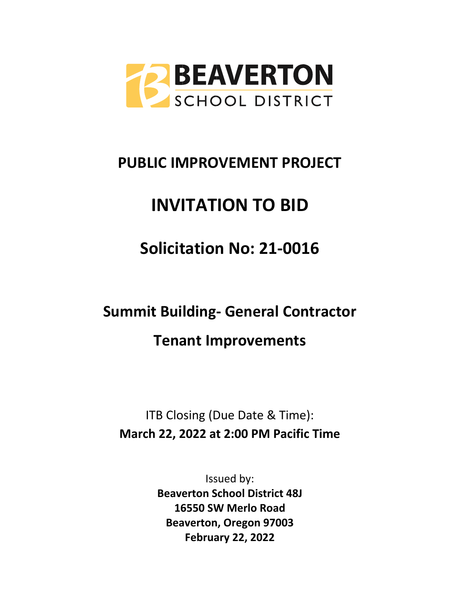

## **PUBLIC IMPROVEMENT PROJECT**

# **INVITATION TO BID**

**Solicitation No: 21-0016**

**Summit Building- General Contractor Tenant Improvements** 

ITB Closing (Due Date & Time): **March 22, 2022 at 2:00 PM Pacific Time**

> Issued by: **Beaverton School District 48J 16550 SW Merlo Road Beaverton, Oregon 97003 February 22, 2022**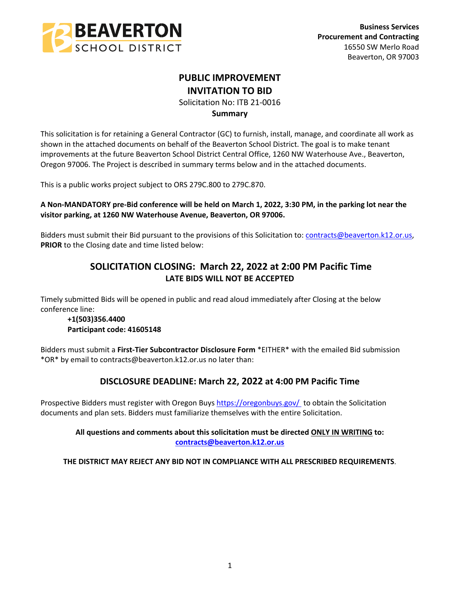

## **PUBLIC IMPROVEMENT INVITATION TO BID**

Solicitation No: ITB 21-0016

## **Summary**

This solicitation is for retaining a General Contractor (GC) to furnish, install, manage, and coordinate all work as shown in the attached documents on behalf of the Beaverton School District. The goal is to make tenant improvements at the future Beaverton School District Central Office, 1260 NW Waterhouse Ave., Beaverton, Oregon 97006. The Project is described in summary terms below and in the attached documents.

This is a public works project subject to ORS 279C.800 to 279C.870.

## **A Non-MANDATORY pre-Bid conference will be held on March 1, 2022, 3:30 PM, in the parking lot near the visitor parking, at 1260 NW Waterhouse Avenue, Beaverton, OR 97006.**

Bidders must submit their Bid pursuant to the provisions of this Solicitation to: [contracts@beaverton.k12.or.us,](mailto:contracts@beaverton.k12.or.us) **PRIOR** to the Closing date and time listed below:

## **SOLICITATION CLOSING: March 22, 2022 at 2:00 PM Pacific Time LATE BIDS WILL NOT BE ACCEPTED**

Timely submitted Bids will be opened in public and read aloud immediately after Closing at the below conference line:

## **+1(503)356.4400 Participant code: 41605148**

Bidders must submit a **First-Tier Subcontractor Disclosure Form** \*EITHER\* with the emailed Bid submission \*OR\* by email to contracts@beaverton.k12.or.us no later than:

## **DISCLOSURE DEADLINE: March 22, 2022 at 4:00 PM Pacific Time**

Prospective Bidders must register with Oregon Buys<https://oregonbuys.gov/> to obtain the Solicitation documents and plan sets. Bidders must familiarize themselves with the entire Solicitation.

## **All questions and comments about this solicitation must be directed ONLY IN WRITING to: [contracts@beaverton.k12.or.us](mailto:contracts@beaverton.k12.or.us)**

**THE DISTRICT MAY REJECT ANY BID NOT IN COMPLIANCE WITH ALL PRESCRIBED REQUIREMENTS**.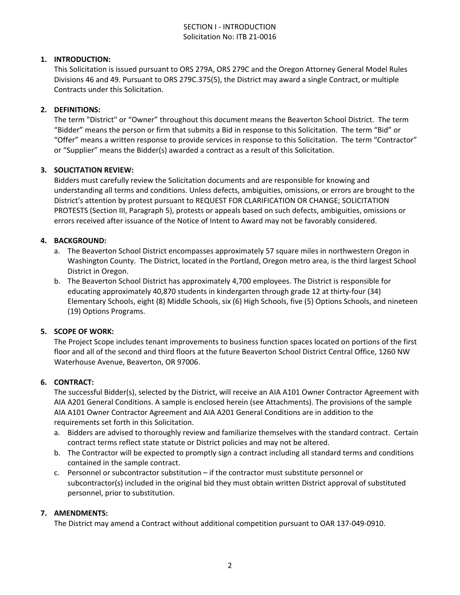## SECTION I - INTRODUCTION Solicitation No: ITB 21-0016

## **1. INTRODUCTION:**

This Solicitation is issued pursuant to ORS 279A, ORS 279C and the Oregon Attorney General Model Rules Divisions 46 and 49. Pursuant to ORS 279C.375(5), the District may award a single Contract, or multiple Contracts under this Solicitation.

#### **2. DEFINITIONS:**

The term "District" or "Owner" throughout this document means the Beaverton School District. The term "Bidder" means the person or firm that submits a Bid in response to this Solicitation. The term "Bid" or "Offer" means a written response to provide services in response to this Solicitation. The term "Contractor" or "Supplier" means the Bidder(s) awarded a contract as a result of this Solicitation.

#### **3. SOLICITATION REVIEW:**

Bidders must carefully review the Solicitation documents and are responsible for knowing and understanding all terms and conditions. Unless defects, ambiguities, omissions, or errors are brought to the District's attention by protest pursuant to REQUEST FOR CLARIFICATION OR CHANGE; SOLICITATION PROTESTS (Section III, Paragraph 5), protests or appeals based on such defects, ambiguities, omissions or errors received after issuance of the Notice of Intent to Award may not be favorably considered.

### **4. BACKGROUND:**

- a. The Beaverton School District encompasses approximately 57 square miles in northwestern Oregon in Washington County. The District, located in the Portland, Oregon metro area, is the third largest School District in Oregon.
- b. The Beaverton School District has approximately 4,700 employees. The District is responsible for educating approximately 40,870 students in kindergarten through grade 12 at thirty-four (34) Elementary Schools, eight (8) Middle Schools, six (6) High Schools, five (5) Options Schools, and nineteen (19) Options Programs.

#### **5. SCOPE OF WORK:**

The Project Scope includes tenant improvements to business function spaces located on portions of the first floor and all of the second and third floors at the future Beaverton School District Central Office, 1260 NW Waterhouse Avenue, Beaverton, OR 97006.

#### **6. CONTRACT:**

The successful Bidder(s), selected by the District, will receive an AIA A101 Owner Contractor Agreement with AIA A201 General Conditions. A sample is enclosed herein (see Attachments). The provisions of the sample AIA A101 Owner Contractor Agreement and AIA A201 General Conditions are in addition to the requirements set forth in this Solicitation.

- a. Bidders are advised to thoroughly review and familiarize themselves with the standard contract. Certain contract terms reflect state statute or District policies and may not be altered.
- b. The Contractor will be expected to promptly sign a contract including all standard terms and conditions contained in the sample contract.
- c. Personnel or subcontractor substitution if the contractor must substitute personnel or subcontractor(s) included in the original bid they must obtain written District approval of substituted personnel, prior to substitution.

#### **7. AMENDMENTS:**

The District may amend a Contract without additional competition pursuant to OAR 137-049-0910.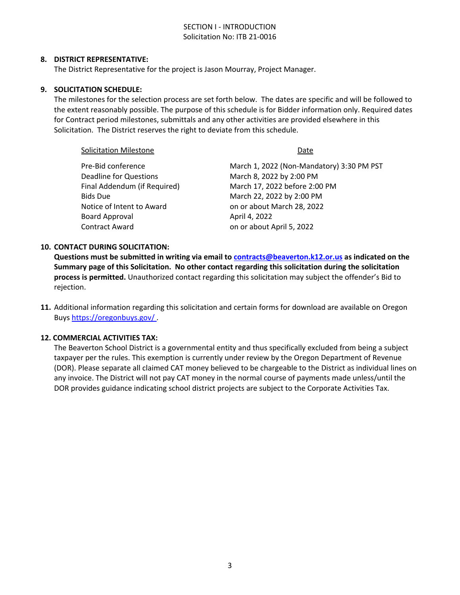## SECTION I - INTRODUCTION Solicitation No: ITB 21-0016

#### **8. DISTRICT REPRESENTATIVE:**

The District Representative for the project is Jason Mourray, Project Manager.

#### **9. SOLICITATION SCHEDULE:**

The milestones for the selection process are set forth below. The dates are specific and will be followed to the extent reasonably possible. The purpose of this schedule is for Bidder information only. Required dates for Contract period milestones, submittals and any other activities are provided elsewhere in this Solicitation. The District reserves the right to deviate from this schedule.

| <b>Solicitation Milestone</b> | Date                                      |  |  |
|-------------------------------|-------------------------------------------|--|--|
| Pre-Bid conference            | March 1, 2022 (Non-Mandatory) 3:30 PM PST |  |  |
| <b>Deadline for Questions</b> | March 8, 2022 by 2:00 PM                  |  |  |
| Final Addendum (if Required)  | March 17, 2022 before 2:00 PM             |  |  |
| <b>Bids Due</b>               | March 22, 2022 by 2:00 PM                 |  |  |
| Notice of Intent to Award     | on or about March 28, 2022                |  |  |
| Board Approval                | April 4, 2022                             |  |  |
| <b>Contract Award</b>         | on or about April 5, 2022                 |  |  |
|                               |                                           |  |  |

#### **10. CONTACT DURING SOLICITATION:**

**Questions must be submitted in writing via email to [contracts@beaverton.k12.or.us](mailto:contracts@beaverton.k12.or.us) as indicated on the Summary page of this Solicitation. No other contact regarding this solicitation during the solicitation process is permitted.** Unauthorized contact regarding this solicitation may subject the offender's Bid to rejection.

**11.** Additional information regarding this solicitation and certain forms for download are available on Oregon Buys <https://oregonbuys.gov/> .

#### **12. COMMERCIAL ACTIVITIES TAX:**

The Beaverton School District is a governmental entity and thus specifically excluded from being a subject taxpayer per the rules. This exemption is currently under review by the Oregon Department of Revenue (DOR). Please separate all claimed CAT money believed to be chargeable to the District as individual lines on any invoice. The District will not pay CAT money in the normal course of payments made unless/until the DOR provides guidance indicating school district projects are subject to the Corporate Activities Tax.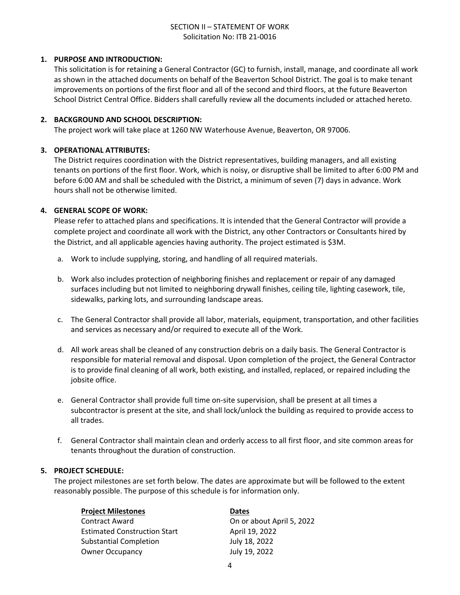## SECTION II – STATEMENT OF WORK Solicitation No: ITB 21-0016

#### **1. PURPOSE AND INTRODUCTION:**

This solicitation is for retaining a General Contractor (GC) to furnish, install, manage, and coordinate all work as shown in the attached documents on behalf of the Beaverton School District. The goal is to make tenant improvements on portions of the first floor and all of the second and third floors, at the future Beaverton School District Central Office. Bidders shall carefully review all the documents included or attached hereto.

#### **2. BACKGROUND AND SCHOOL DESCRIPTION:**

The project work will take place at 1260 NW Waterhouse Avenue, Beaverton, OR 97006.

## **3. OPERATIONAL ATTRIBUTES:**

The District requires coordination with the District representatives, building managers, and all existing tenants on portions of the first floor. Work, which is noisy, or disruptive shall be limited to after 6:00 PM and before 6:00 AM and shall be scheduled with the District, a minimum of seven (7) days in advance. Work hours shall not be otherwise limited.

### **4. GENERAL SCOPE OF WORK:**

Please refer to attached plans and specifications. It is intended that the General Contractor will provide a complete project and coordinate all work with the District, any other Contractors or Consultants hired by the District, and all applicable agencies having authority. The project estimated is \$3M.

- a. Work to include supplying, storing, and handling of all required materials.
- b. Work also includes protection of neighboring finishes and replacement or repair of any damaged surfaces including but not limited to neighboring drywall finishes, ceiling tile, lighting casework, tile, sidewalks, parking lots, and surrounding landscape areas.
- c. The General Contractor shall provide all labor, materials, equipment, transportation, and other facilities and services as necessary and/or required to execute all of the Work.
- d. All work areas shall be cleaned of any construction debris on a daily basis. The General Contractor is responsible for material removal and disposal. Upon completion of the project, the General Contractor is to provide final cleaning of all work, both existing, and installed, replaced, or repaired including the jobsite office.
- e. General Contractor shall provide full time on-site supervision, shall be present at all times a subcontractor is present at the site, and shall lock/unlock the building as required to provide access to all trades.
- f. General Contractor shall maintain clean and orderly access to all first floor, and site common areas for tenants throughout the duration of construction.

#### **5. PROJECT SCHEDULE:**

The project milestones are set forth below. The dates are approximate but will be followed to the extent reasonably possible. The purpose of this schedule is for information only.

| <b>Project Milestones</b>           | <b>Dates</b>              |
|-------------------------------------|---------------------------|
| <b>Contract Award</b>               | On or about April 5, 2022 |
| <b>Estimated Construction Start</b> | April 19, 2022            |
| <b>Substantial Completion</b>       | July 18, 2022             |
| <b>Owner Occupancy</b>              | July 19, 2022             |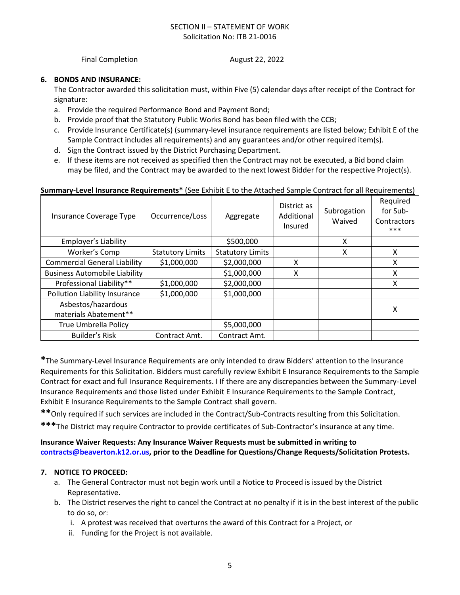## SECTION II – STATEMENT OF WORK Solicitation No: ITB 21-0016

Final Completion **August 22, 2022** 

#### **6. BONDS AND INSURANCE:**

The Contractor awarded this solicitation must, within Five (5) calendar days after receipt of the Contract for signature:

- a. Provide the required Performance Bond and Payment Bond;
- b. Provide proof that the Statutory Public Works Bond has been filed with the CCB;
- c. Provide Insurance Certificate(s) (summary-level insurance requirements are listed below; Exhibit E of the Sample Contract includes all requirements) and any guarantees and/or other required item(s).
- d. Sign the Contract issued by the District Purchasing Department.
- e. If these items are not received as specified then the Contract may not be executed, a Bid bond claim may be filed, and the Contract may be awarded to the next lowest Bidder for the respective Project(s).

#### **Summary-Level Insurance Requirements\*** (See Exhibit E to the Attached Sample Contract for all Requirements)

| Insurance Coverage Type              | Occurrence/Loss         | Aggregate               | District as<br>Additional<br>Insured | Subrogation<br>Waived | Required<br>for Sub-<br>Contractors<br>$***$ |
|--------------------------------------|-------------------------|-------------------------|--------------------------------------|-----------------------|----------------------------------------------|
| Employer's Liability                 |                         | \$500,000               |                                      | X                     |                                              |
| Worker's Comp                        | <b>Statutory Limits</b> | <b>Statutory Limits</b> |                                      | x                     | x                                            |
| <b>Commercial General Liability</b>  | \$1,000,000             | \$2,000,000             | X                                    |                       | X                                            |
| <b>Business Automobile Liability</b> |                         | \$1,000,000             | X                                    |                       | X                                            |
| Professional Liability**             | \$1,000,000             | \$2,000,000             |                                      |                       | X                                            |
| Pollution Liability Insurance        | \$1,000,000             | \$1,000,000             |                                      |                       |                                              |
| Asbestos/hazardous                   |                         |                         |                                      |                       | х                                            |
| materials Abatement**                |                         |                         |                                      |                       |                                              |
| <b>True Umbrella Policy</b>          |                         | \$5,000,000             |                                      |                       |                                              |
| <b>Builder's Risk</b>                | Contract Amt.           | Contract Amt.           |                                      |                       |                                              |

**\***The Summary-Level Insurance Requirements are only intended to draw Bidders' attention to the Insurance Requirements for this Solicitation. Bidders must carefully review Exhibit E Insurance Requirements to the Sample Contract for exact and full Insurance Requirements. I If there are any discrepancies between the Summary-Level Insurance Requirements and those listed under Exhibit E Insurance Requirements to the Sample Contract, Exhibit E Insurance Requirements to the Sample Contract shall govern.

**\*\***Only required if such services are included in the Contract/Sub-Contracts resulting from this Solicitation.

**\*\*\***The District may require Contractor to provide certificates of Sub-Contractor's insurance at any time.

**Insurance Waiver Requests: Any Insurance Waiver Requests must be submitted in writing to [contracts@beaverton.k12.or.us,](mailto:contracts@beaverton.k12.or.us) prior to the Deadline for Questions/Change Requests/Solicitation Protests.**

#### **7. NOTICE TO PROCEED:**

- a. The General Contractor must not begin work until a Notice to Proceed is issued by the District Representative.
- b. The District reserves the right to cancel the Contract at no penalty if it is in the best interest of the public to do so, or:
	- i. A protest was received that overturns the award of this Contract for a Project, or
	- ii. Funding for the Project is not available.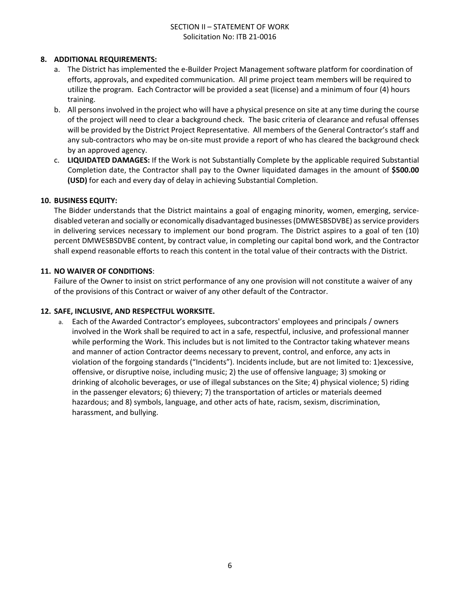## SECTION II – STATEMENT OF WORK Solicitation No: ITB 21-0016

#### **8. ADDITIONAL REQUIREMENTS:**

- a. The District has implemented the e-Builder Project Management software platform for coordination of efforts, approvals, and expedited communication. All prime project team members will be required to utilize the program. Each Contractor will be provided a seat (license) and a minimum of four (4) hours training.
- b. All persons involved in the project who will have a physical presence on site at any time during the course of the project will need to clear a background check. The basic criteria of clearance and refusal offenses will be provided by the District Project Representative. All members of the General Contractor's staff and any sub-contractors who may be on-site must provide a report of who has cleared the background check by an approved agency.
- c. **LIQUIDATED DAMAGES:** If the Work is not Substantially Complete by the applicable required Substantial Completion date, the Contractor shall pay to the Owner liquidated damages in the amount of **\$500.00 (USD)** for each and every day of delay in achieving Substantial Completion.

#### **10. BUSINESS EQUITY:**

The Bidder understands that the District maintains a goal of engaging minority, women, emerging, servicedisabled veteran and socially or economically disadvantaged businesses (DMWESBSDVBE) as service providers in delivering services necessary to implement our bond program. The District aspires to a goal of ten (10) percent DMWESBSDVBE content, by contract value, in completing our capital bond work, and the Contractor shall expend reasonable efforts to reach this content in the total value of their contracts with the District.

#### **11. NO WAIVER OF CONDITIONS**:

Failure of the Owner to insist on strict performance of any one provision will not constitute a waiver of any of the provisions of this Contract or waiver of any other default of the Contractor.

#### **12. SAFE, INCLUSIVE, AND RESPECTFUL WORKSITE.**

a. Each of the Awarded Contractor's employees, subcontractors' employees and principals / owners involved in the Work shall be required to act in a safe, respectful, inclusive, and professional manner while performing the Work. This includes but is not limited to the Contractor taking whatever means and manner of action Contractor deems necessary to prevent, control, and enforce, any acts in violation of the forgoing standards ("Incidents"). Incidents include, but are not limited to: 1)excessive, offensive, or disruptive noise, including music; 2) the use of offensive language; 3) smoking or drinking of alcoholic beverages, or use of illegal substances on the Site; 4) physical violence; 5) riding in the passenger elevators; 6) thievery; 7) the transportation of articles or materials deemed hazardous; and 8) symbols, language, and other acts of hate, racism, sexism, discrimination, harassment, and bullying.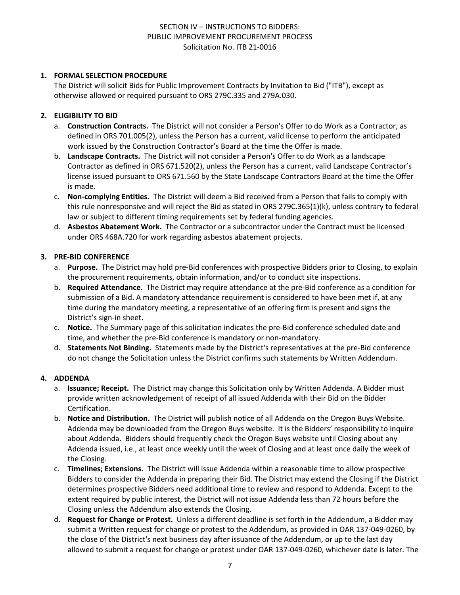## **1. FORMAL SELECTION PROCEDURE**

The District will solicit Bids for Public Improvement Contracts by Invitation to Bid ("ITB"), except as otherwise allowed or required pursuant to ORS 279C.335 and 279A.030.

## **2. ELIGIBILITY TO BID**

- a. **Construction Contracts.** The District will not consider a Person's Offer to do Work as a Contractor, as defined in ORS 701.005(2), unless the Person has a current, valid license to perform the anticipated work issued by the Construction Contractor's Board at the time the Offer is made.
- b. **Landscape Contracts.** The District will not consider a Person's Offer to do Work as a landscape Contractor as defined in ORS 671.520(2), unless the Person has a current, valid Landscape Contractor's license issued pursuant to ORS 671.560 by the State Landscape Contractors Board at the time the Offer is made.
- c. **Non-complying Entities.** The District will deem a Bid received from a Person that fails to comply with this rule nonresponsive and will reject the Bid as stated in ORS 279C.365(1)(k), unless contrary to federal law or subject to different timing requirements set by federal funding agencies.
- d. **Asbestos Abatement Work.** The Contractor or a subcontractor under the Contract must be licensed under ORS 468A.720 for work regarding asbestos abatement projects.

#### **3. PRE-BID CONFERENCE**

- a. **Purpose.** The District may hold pre-Bid conferences with prospective Bidders prior to Closing, to explain the procurement requirements, obtain information, and/or to conduct site inspections.
- b. **Required Attendance.** The District may require attendance at the pre-Bid conference as a condition for submission of a Bid. A mandatory attendance requirement is considered to have been met if, at any time during the mandatory meeting, a representative of an offering firm is present and signs the District's sign-in sheet.
- c. **Notice.** The Summary page of this solicitation indicates the pre-Bid conference scheduled date and time, and whether the pre-Bid conference is mandatory or non-mandatory.
- d. **Statements Not Binding.** Statements made by the District's representatives at the pre-Bid conference do not change the Solicitation unless the District confirms such statements by Written Addendum.

## **4. ADDENDA**

- a. **Issuance; Receipt.** The District may change this Solicitation only by Written Addenda. A Bidder must provide written acknowledgement of receipt of all issued Addenda with their Bid on the Bidder Certification.
- b. **Notice and Distribution.** The District will publish notice of all Addenda on the Oregon Buys Website. Addenda may be downloaded from the Oregon Buys website. It is the Bidders' responsibility to inquire about Addenda. Bidders should frequently check the Oregon Buys website until Closing about any Addenda issued, i.e., at least once weekly until the week of Closing and at least once daily the week of the Closing.
- c. **Timelines; Extensions.** The District will issue Addenda within a reasonable time to allow prospective Bidders to consider the Addenda in preparing their Bid. The District may extend the Closing if the District determines prospective Bidders need additional time to review and respond to Addenda. Except to the extent required by public interest, the District will not issue Addenda less than 72 hours before the Closing unless the Addendum also extends the Closing.
- d. **Request for Change or Protest.** Unless a different deadline is set forth in the Addendum, a Bidder may submit a Written request for change or protest to the Addendum, as provided in OAR 137-049-0260, by the close of the District's next business day after issuance of the Addendum, or up to the last day allowed to submit a request for change or protest under OAR 137-049-0260, whichever date is later. The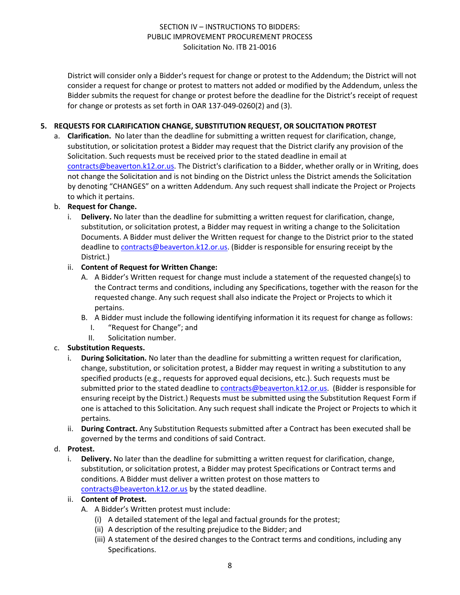District will consider only a Bidder's request for change or protest to the Addendum; the District will not consider a request for change or protest to matters not added or modified by the Addendum, unless the Bidder submits the request for change or protest before the deadline for the District's receipt of request for change or protests as set forth in OAR 137-049-0260(2) and (3).

## **5. REQUESTS FOR CLARIFICATION CHANGE, SUBSTITUTION REQUEST, OR SOLICITATION PROTEST**

a. **Clarification.** No later than the deadline for submitting a written request for clarification, change, substitution, or solicitation protest a Bidder may request that the District clarify any provision of the Solicitation. Such requests must be received prior to the stated deadline in email at [contracts@beaverton.k12.or.us.](mailto:contracts@beaverton.k12.or.us) The District's clarification to a Bidder, whether orally or in Writing, does not change the Solicitation and is not binding on the District unless the District amends the Solicitation by denoting "CHANGES" on a written Addendum. Any such request shall indicate the Project or Projects to which it pertains.

### b. **Request for Change.**

i. **Delivery.** No later than the deadline for submitting a written request for clarification, change, substitution, or solicitation protest, a Bidder may request in writing a change to the Solicitation Documents. A Bidder must deliver the Written request for change to the District prior to the stated deadline to [contracts@beaverton.k12.or.us.](mailto:contracts@beaverton.k12.or.us) (Bidder is responsible for ensuring receipt by the District.)

### ii. **Content of Request for Written Change:**

- A. A Bidder's Written request for change must include a statement of the requested change(s) to the Contract terms and conditions, including any Specifications, together with the reason for the requested change. Any such request shall also indicate the Project or Projects to which it pertains.
- B. A Bidder must include the following identifying information it its request for change as follows:
	- I. "Request for Change"; and
	- II. Solicitation number.

## c. **Substitution Requests.**

- i. **During Solicitation.** No later than the deadline for submitting a written request for clarification, change, substitution, or solicitation protest, a Bidder may request in writing a substitution to any specified products (e.g., requests for approved equal decisions, etc.). Such requests must be submitted prior to the stated deadline to [contracts@beaverton.k12.or.us](mailto:contracts@beaverton.k12.or.us). (Bidder is responsible for ensuring receipt by the District.) Requests must be submitted using the Substitution Request Form if one is attached to this Solicitation. Any such request shall indicate the Project or Projects to which it pertains.
- ii. **During Contract.** Any Substitution Requests submitted after a Contract has been executed shall be governed by the terms and conditions of said Contract.

#### d. **Protest.**

i. **Delivery.** No later than the deadline for submitting a written request for clarification, change, substitution, or solicitation protest, a Bidder may protest Specifications or Contract terms and conditions. A Bidder must deliver a written protest on those matters to [contracts@beaverton.k12.or.us](mailto:contracts@beaverton.k12.or.us) by the stated deadline.

#### ii. **Content of Protest.**

- A. A Bidder's Written protest must include:
	- (i) A detailed statement of the legal and factual grounds for the protest;
	- (ii) A description of the resulting prejudice to the Bidder; and
	- (iii) A statement of the desired changes to the Contract terms and conditions, including any Specifications.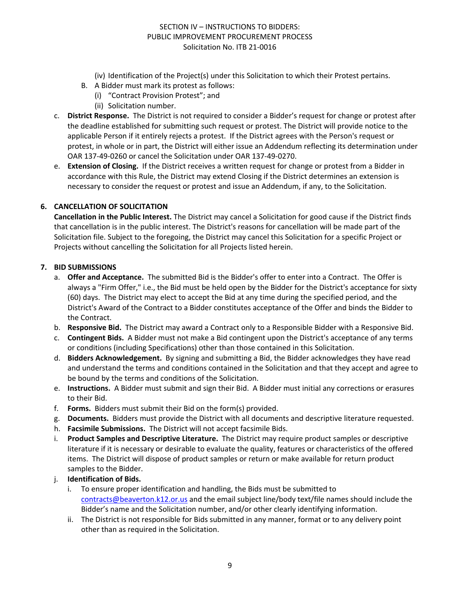- (iv) Identification of the Project(s) under this Solicitation to which their Protest pertains.
- B. A Bidder must mark its protest as follows:
	- (i) "Contract Provision Protest"; and
		- (ii) Solicitation number.
- c. **District Response.** The District is not required to consider a Bidder's request for change or protest after the deadline established for submitting such request or protest. The District will provide notice to the applicable Person if it entirely rejects a protest. If the District agrees with the Person's request or protest, in whole or in part, the District will either issue an Addendum reflecting its determination under OAR 137-49-0260 or cancel the Solicitation under OAR 137-49-0270.
- e. **Extension of Closing.** If the District receives a written request for change or protest from a Bidder in accordance with this Rule, the District may extend Closing if the District determines an extension is necessary to consider the request or protest and issue an Addendum, if any, to the Solicitation.

### **6. CANCELLATION OF SOLICITATION**

**Cancellation in the Public Interest.** The District may cancel a Solicitation for good cause if the District finds that cancellation is in the public interest. The District's reasons for cancellation will be made part of the Solicitation file. Subject to the foregoing, the District may cancel this Solicitation for a specific Project or Projects without cancelling the Solicitation for all Projects listed herein.

#### **7. BID SUBMISSIONS**

- a. **Offer and Acceptance.** The submitted Bid is the Bidder's offer to enter into a Contract. The Offer is always a "Firm Offer," i.e., the Bid must be held open by the Bidder for the District's acceptance for sixty (60) days. The District may elect to accept the Bid at any time during the specified period, and the District's Award of the Contract to a Bidder constitutes acceptance of the Offer and binds the Bidder to the Contract.
- b. **Responsive Bid.** The District may award a Contract only to a Responsible Bidder with a Responsive Bid.
- c. **Contingent Bids.** A Bidder must not make a Bid contingent upon the District's acceptance of any terms or conditions (including Specifications) other than those contained in this Solicitation.
- d. **Bidders Acknowledgement.** By signing and submitting a Bid, the Bidder acknowledges they have read and understand the terms and conditions contained in the Solicitation and that they accept and agree to be bound by the terms and conditions of the Solicitation.
- e. **Instructions.** A Bidder must submit and sign their Bid. A Bidder must initial any corrections or erasures to their Bid.
- f. **Forms.** Bidders must submit their Bid on the form(s) provided.
- g. **Documents.** Bidders must provide the District with all documents and descriptive literature requested.
- h. **Facsimile Submissions.** The District will not accept facsimile Bids.
- i. **Product Samples and Descriptive Literature.** The District may require product samples or descriptive literature if it is necessary or desirable to evaluate the quality, features or characteristics of the offered items. The District will dispose of product samples or return or make available for return product samples to the Bidder.
- j. **Identification of Bids.**
	- i. To ensure proper identification and handling, the Bids must be submitted to [contracts@beaverton.k12.or.us](mailto:contracts@beaverton.k12.or.us) and the email subject line/body text/file names should include the Bidder's name and the Solicitation number, and/or other clearly identifying information.
	- ii. The District is not responsible for Bids submitted in any manner, format or to any delivery point other than as required in the Solicitation.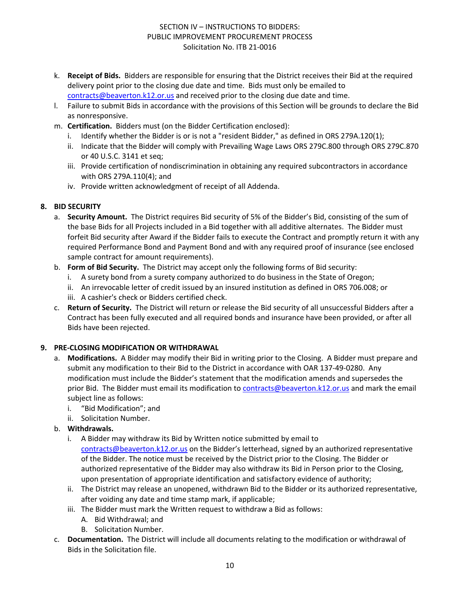- k. **Receipt of Bids.** Bidders are responsible for ensuring that the District receives their Bid at the required delivery point prior to the closing due date and time. Bids must only be emailed to [contracts@beaverton.k12.or.us](mailto:contracts@beaverton.k12.or.us) and received prior to the closing due date and time.
- l. Failure to submit Bids in accordance with the provisions of this Section will be grounds to declare the Bid as nonresponsive.
- m. **Certification.** Bidders must (on the Bidder Certification enclosed):
	- i. Identify whether the Bidder is or is not a "resident Bidder," as defined in ORS 279A.120(1);
	- ii. Indicate that the Bidder will comply with Prevailing Wage Laws ORS 279C.800 through ORS 279C.870 or 40 U.S.C. 3141 et seq;
	- iii. Provide certification of nondiscrimination in obtaining any required subcontractors in accordance with ORS 279A.110(4); and
	- iv. Provide written acknowledgment of receipt of all Addenda.

### **8. BID SECURITY**

- a. **Security Amount.** The District requires Bid security of 5% of the Bidder's Bid, consisting of the sum of the base Bids for all Projects included in a Bid together with all additive alternates. The Bidder must forfeit Bid security after Award if the Bidder fails to execute the Contract and promptly return it with any required Performance Bond and Payment Bond and with any required proof of insurance (see enclosed sample contract for amount requirements).
- b. **Form of Bid Security.** The District may accept only the following forms of Bid security:
	- i. A surety bond from a surety company authorized to do business in the State of Oregon;
	- ii. An irrevocable letter of credit issued by an insured institution as defined in ORS 706.008; or
	- iii. A cashier's check or Bidders certified check.
- c. **Return of Security.** The District will return or release the Bid security of all unsuccessful Bidders after a Contract has been fully executed and all required bonds and insurance have been provided, or after all Bids have been rejected.

## **9. PRE-CLOSING MODIFICATION OR WITHDRAWAL**

- a. **Modifications.** A Bidder may modify their Bid in writing prior to the Closing. A Bidder must prepare and submit any modification to their Bid to the District in accordance with OAR 137-49-0280. Any modification must include the Bidder's statement that the modification amends and supersedes the prior Bid. The Bidder must email its modification to [contracts@beaverton.k12.or.us](mailto:contracts@beaverton.k12.or.us) and mark the email subject line as follows:
	- i. "Bid Modification"; and
	- ii. Solicitation Number.
- b. **Withdrawals.**
	- i. A Bidder may withdraw its Bid by Written notice submitted by email to [contracts@beaverton.k12.or.us](mailto:contracts@beaverton.k12.or.us) on the Bidder's letterhead, signed by an authorized representative of the Bidder. The notice must be received by the District prior to the Closing. The Bidder or authorized representative of the Bidder may also withdraw its Bid in Person prior to the Closing, upon presentation of appropriate identification and satisfactory evidence of authority;
	- ii. The District may release an unopened, withdrawn Bid to the Bidder or its authorized representative, after voiding any date and time stamp mark, if applicable;
	- iii. The Bidder must mark the Written request to withdraw a Bid as follows:
		- A. Bid Withdrawal; and
		- B. Solicitation Number.
- c. **Documentation.** The District will include all documents relating to the modification or withdrawal of Bids in the Solicitation file.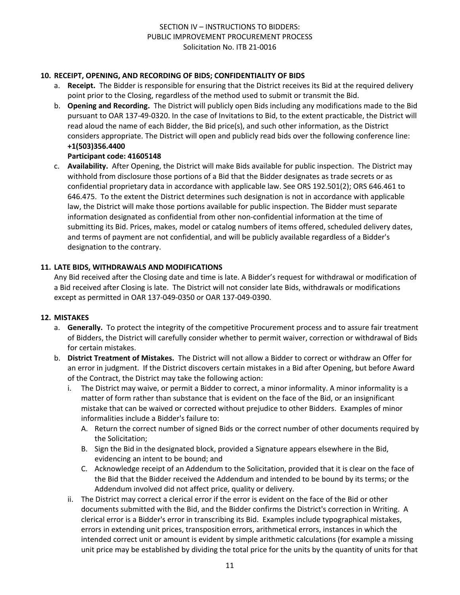## **10. RECEIPT, OPENING, AND RECORDING OF BIDS; CONFIDENTIALITY OF BIDS**

- a. **Receipt.** The Bidder is responsible for ensuring that the District receives its Bid at the required delivery point prior to the Closing, regardless of the method used to submit or transmit the Bid.
- b. **Opening and Recording.** The District will publicly open Bids including any modifications made to the Bid pursuant to OAR 137-49-0320. In the case of Invitations to Bid, to the extent practicable, the District will read aloud the name of each Bidder, the Bid price(s), and such other information, as the District considers appropriate. The District will open and publicly read bids over the following conference line: **+1(503)356.4400**

### **Participant code: 41605148**

c. **Availability.** After Opening, the District will make Bids available for public inspection. The District may withhold from disclosure those portions of a Bid that the Bidder designates as trade secrets or as confidential proprietary data in accordance with applicable law. See ORS 192.501(2); ORS 646.461 to 646.475. To the extent the District determines such designation is not in accordance with applicable law, the District will make those portions available for public inspection. The Bidder must separate information designated as confidential from other non-confidential information at the time of submitting its Bid. Prices, makes, model or catalog numbers of items offered, scheduled delivery dates, and terms of payment are not confidential, and will be publicly available regardless of a Bidder's designation to the contrary.

### **11. LATE BIDS, WITHDRAWALS AND MODIFICATIONS**

Any Bid received after the Closing date and time is late. A Bidder's request for withdrawal or modification of a Bid received after Closing is late. The District will not consider late Bids, withdrawals or modifications except as permitted in OAR 137-049-0350 or OAR 137-049-0390.

#### **12. MISTAKES**

- a. **Generally.** To protect the integrity of the competitive Procurement process and to assure fair treatment of Bidders, the District will carefully consider whether to permit waiver, correction or withdrawal of Bids for certain mistakes.
- b. **District Treatment of Mistakes.** The District will not allow a Bidder to correct or withdraw an Offer for an error in judgment. If the District discovers certain mistakes in a Bid after Opening, but before Award of the Contract, the District may take the following action:
	- i. The District may waive, or permit a Bidder to correct, a minor informality. A minor informality is a matter of form rather than substance that is evident on the face of the Bid, or an insignificant mistake that can be waived or corrected without prejudice to other Bidders. Examples of minor informalities include a Bidder's failure to:
		- A. Return the correct number of signed Bids or the correct number of other documents required by the Solicitation;
		- B. Sign the Bid in the designated block, provided a Signature appears elsewhere in the Bid, evidencing an intent to be bound; and
		- C. Acknowledge receipt of an Addendum to the Solicitation, provided that it is clear on the face of the Bid that the Bidder received the Addendum and intended to be bound by its terms; or the Addendum involved did not affect price, quality or delivery.
	- ii. The District may correct a clerical error if the error is evident on the face of the Bid or other documents submitted with the Bid, and the Bidder confirms the District's correction in Writing. A clerical error is a Bidder's error in transcribing its Bid. Examples include typographical mistakes, errors in extending unit prices, transposition errors, arithmetical errors, instances in which the intended correct unit or amount is evident by simple arithmetic calculations (for example a missing unit price may be established by dividing the total price for the units by the quantity of units for that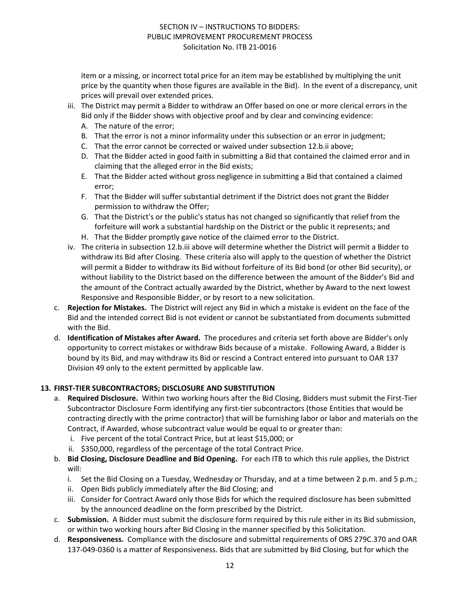item or a missing, or incorrect total price for an item may be established by multiplying the unit price by the quantity when those figures are available in the Bid). In the event of a discrepancy, unit prices will prevail over extended prices.

- iii. The District may permit a Bidder to withdraw an Offer based on one or more clerical errors in the Bid only if the Bidder shows with objective proof and by clear and convincing evidence:
	- A. The nature of the error;
	- B. That the error is not a minor informality under this subsection or an error in judgment;
	- C. That the error cannot be corrected or waived under subsection 12.b.ii above;
	- D. That the Bidder acted in good faith in submitting a Bid that contained the claimed error and in claiming that the alleged error in the Bid exists;
	- E. That the Bidder acted without gross negligence in submitting a Bid that contained a claimed error;
	- F. That the Bidder will suffer substantial detriment if the District does not grant the Bidder permission to withdraw the Offer;
	- G. That the District's or the public's status has not changed so significantly that relief from the forfeiture will work a substantial hardship on the District or the public it represents; and
	- H. That the Bidder promptly gave notice of the claimed error to the District.
- iv. The criteria in subsection 12.b.iii above will determine whether the District will permit a Bidder to withdraw its Bid after Closing. These criteria also will apply to the question of whether the District will permit a Bidder to withdraw its Bid without forfeiture of its Bid bond (or other Bid security), or without liability to the District based on the difference between the amount of the Bidder's Bid and the amount of the Contract actually awarded by the District, whether by Award to the next lowest Responsive and Responsible Bidder, or by resort to a new solicitation.
- c. **Rejection for Mistakes.** The District will reject any Bid in which a mistake is evident on the face of the Bid and the intended correct Bid is not evident or cannot be substantiated from documents submitted with the Bid.
- d. **Identification of Mistakes after Award.** The procedures and criteria set forth above are Bidder's only opportunity to correct mistakes or withdraw Bids because of a mistake. Following Award, a Bidder is bound by its Bid, and may withdraw its Bid or rescind a Contract entered into pursuant to OAR 137 Division 49 only to the extent permitted by applicable law.

#### **13. FIRST-TIER SUBCONTRACTORS; DISCLOSURE AND SUBSTITUTION**

- a. **Required Disclosure.** Within two working hours after the Bid Closing, Bidders must submit the First-Tier Subcontractor Disclosure Form identifying any first-tier subcontractors (those Entities that would be contracting directly with the prime contractor) that will be furnishing labor or labor and materials on the Contract, if Awarded, whose subcontract value would be equal to or greater than:
	- i. Five percent of the total Contract Price, but at least \$15,000; or
	- ii. \$350,000, regardless of the percentage of the total Contract Price.
- b. **Bid Closing, Disclosure Deadline and Bid Opening.** For each ITB to which this rule applies, the District will:
	- i. Set the Bid Closing on a Tuesday, Wednesday or Thursday, and at a time between 2 p.m. and 5 p.m.;
	- ii. Open Bids publicly immediately after the Bid Closing; and
	- iii. Consider for Contract Award only those Bids for which the required disclosure has been submitted by the announced deadline on the form prescribed by the District.
- c. **Submission.** A Bidder must submit the disclosure form required by this rule either in its Bid submission, or within two working hours after Bid Closing in the manner specified by this Solicitation.
- d. **Responsiveness.** Compliance with the disclosure and submittal requirements of ORS 279C.370 and OAR 137-049-0360 is a matter of Responsiveness. Bids that are submitted by Bid Closing, but for which the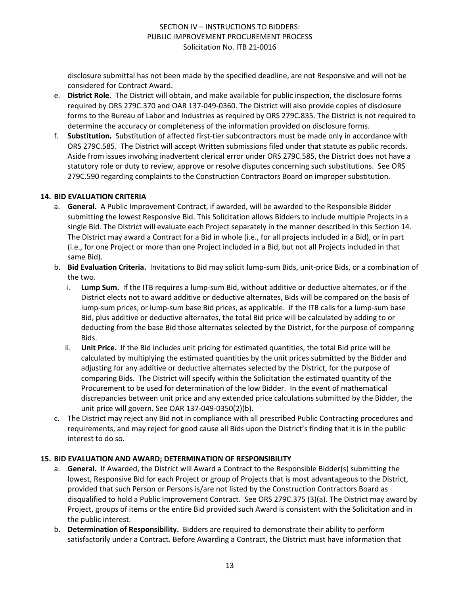disclosure submittal has not been made by the specified deadline, are not Responsive and will not be considered for Contract Award.

- e. **District Role.** The District will obtain, and make available for public inspection, the disclosure forms required by ORS 279C.370 and OAR 137-049-0360. The District will also provide copies of disclosure forms to the Bureau of Labor and Industries as required by ORS 279C.835. The District is not required to determine the accuracy or completeness of the information provided on disclosure forms.
- f. **Substitution.** Substitution of affected first-tier subcontractors must be made only in accordance with ORS 279C.585. The District will accept Written submissions filed under that statute as public records. Aside from issues involving inadvertent clerical error under ORS 279C.585, the District does not have a statutory role or duty to review, approve or resolve disputes concerning such substitutions. See ORS 279C.590 regarding complaints to the Construction Contractors Board on improper substitution.

#### **14. BID EVALUATION CRITERIA**

- a. **General.** A Public Improvement Contract, if awarded, will be awarded to the Responsible Bidder submitting the lowest Responsive Bid. This Solicitation allows Bidders to include multiple Projects in a single Bid. The District will evaluate each Project separately in the manner described in this Section 14. The District may award a Contract for a Bid in whole (i.e., for all projects included in a Bid), or in part (i.e., for one Project or more than one Project included in a Bid, but not all Projects included in that same Bid).
- b. **Bid Evaluation Criteria.** Invitations to Bid may solicit lump-sum Bids, unit-price Bids, or a combination of the two.
	- i. **Lump Sum.** If the ITB requires a lump-sum Bid, without additive or deductive alternates, or if the District elects not to award additive or deductive alternates, Bids will be compared on the basis of lump-sum prices, or lump-sum base Bid prices, as applicable. If the ITB calls for a lump-sum base Bid, plus additive or deductive alternates, the total Bid price will be calculated by adding to or deducting from the base Bid those alternates selected by the District, for the purpose of comparing Bids.
	- ii. **Unit Price.** If the Bid includes unit pricing for estimated quantities, the total Bid price will be calculated by multiplying the estimated quantities by the unit prices submitted by the Bidder and adjusting for any additive or deductive alternates selected by the District, for the purpose of comparing Bids. The District will specify within the Solicitation the estimated quantity of the Procurement to be used for determination of the low Bidder. In the event of mathematical discrepancies between unit price and any extended price calculations submitted by the Bidder, the unit price will govern. See OAR 137-049-0350(2)(b).
- c. The District may reject any Bid not in compliance with all prescribed Public Contracting procedures and requirements, and may reject for good cause all Bids upon the District's finding that it is in the public interest to do so.

## **15. BID EVALUATION AND AWARD; DETERMINATION OF RESPONSIBILITY**

- a. **General.** If Awarded, the District will Award a Contract to the Responsible Bidder(s) submitting the lowest, Responsive Bid for each Project or group of Projects that is most advantageous to the District, provided that such Person or Persons is/are not listed by the Construction Contractors Board as disqualified to hold a Public Improvement Contract. See ORS 279C.375 (3)(a). The District may award by Project, groups of items or the entire Bid provided such Award is consistent with the Solicitation and in the public interest.
- b. **Determination of Responsibility.** Bidders are required to demonstrate their ability to perform satisfactorily under a Contract. Before Awarding a Contract, the District must have information that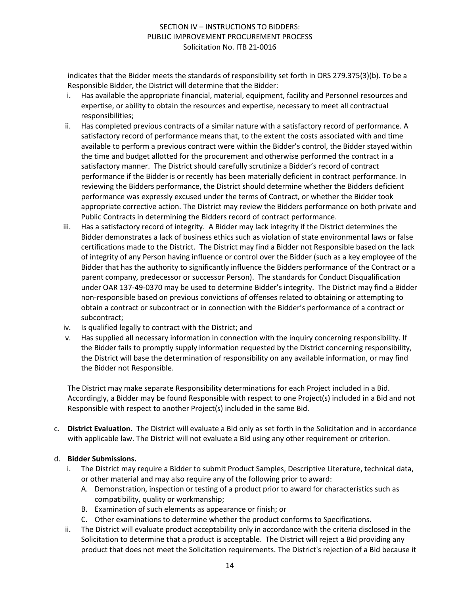indicates that the Bidder meets the standards of responsibility set forth in ORS 279.375(3)(b). To be a Responsible Bidder, the District will determine that the Bidder:

- i. Has available the appropriate financial, material, equipment, facility and Personnel resources and expertise, or ability to obtain the resources and expertise, necessary to meet all contractual responsibilities;
- ii. Has completed previous contracts of a similar nature with a satisfactory record of performance. A satisfactory record of performance means that, to the extent the costs associated with and time available to perform a previous contract were within the Bidder's control, the Bidder stayed within the time and budget allotted for the procurement and otherwise performed the contract in a satisfactory manner. The District should carefully scrutinize a Bidder's record of contract performance if the Bidder is or recently has been materially deficient in contract performance. In reviewing the Bidders performance, the District should determine whether the Bidders deficient performance was expressly excused under the terms of Contract, or whether the Bidder took appropriate corrective action. The District may review the Bidders performance on both private and Public Contracts in determining the Bidders record of contract performance.
- iii. Has a satisfactory record of integrity. A Bidder may lack integrity if the District determines the Bidder demonstrates a lack of business ethics such as violation of state environmental laws or false certifications made to the District. The District may find a Bidder not Responsible based on the lack of integrity of any Person having influence or control over the Bidder (such as a key employee of the Bidder that has the authority to significantly influence the Bidders performance of the Contract or a parent company, predecessor or successor Person). The standards for Conduct Disqualification under OAR 137-49-0370 may be used to determine Bidder's integrity. The District may find a Bidder non-responsible based on previous convictions of offenses related to obtaining or attempting to obtain a contract or subcontract or in connection with the Bidder's performance of a contract or subcontract;
- iv. Is qualified legally to contract with the District; and
- v. Has supplied all necessary information in connection with the inquiry concerning responsibility. If the Bidder fails to promptly supply information requested by the District concerning responsibility, the District will base the determination of responsibility on any available information, or may find the Bidder not Responsible.

The District may make separate Responsibility determinations for each Project included in a Bid. Accordingly, a Bidder may be found Responsible with respect to one Project(s) included in a Bid and not Responsible with respect to another Project(s) included in the same Bid.

c. **District Evaluation.** The District will evaluate a Bid only as set forth in the Solicitation and in accordance with applicable law. The District will not evaluate a Bid using any other requirement or criterion.

## d. **Bidder Submissions.**

- i. The District may require a Bidder to submit Product Samples, Descriptive Literature, technical data, or other material and may also require any of the following prior to award:
	- A. Demonstration, inspection or testing of a product prior to award for characteristics such as compatibility, quality or workmanship;
	- B. Examination of such elements as appearance or finish; or
	- C. Other examinations to determine whether the product conforms to Specifications.
- ii. The District will evaluate product acceptability only in accordance with the criteria disclosed in the Solicitation to determine that a product is acceptable. The District will reject a Bid providing any product that does not meet the Solicitation requirements. The District's rejection of a Bid because it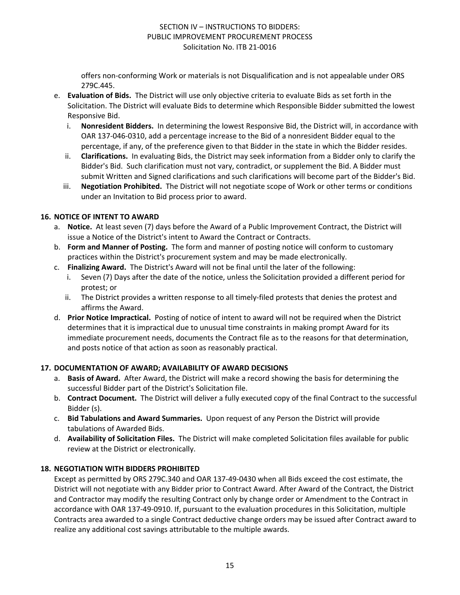offers non-conforming Work or materials is not Disqualification and is not appealable under ORS 279C.445.

- e. **Evaluation of Bids.** The District will use only objective criteria to evaluate Bids as set forth in the Solicitation. The District will evaluate Bids to determine which Responsible Bidder submitted the lowest Responsive Bid.
	- i. **Nonresident Bidders.** In determining the lowest Responsive Bid, the District will, in accordance with OAR 137-046-0310, add a percentage increase to the Bid of a nonresident Bidder equal to the percentage, if any, of the preference given to that Bidder in the state in which the Bidder resides.
	- ii. **Clarifications.** In evaluating Bids, the District may seek information from a Bidder only to clarify the Bidder's Bid. Such clarification must not vary, contradict, or supplement the Bid. A Bidder must submit Written and Signed clarifications and such clarifications will become part of the Bidder's Bid.
	- iii. **Negotiation Prohibited.** The District will not negotiate scope of Work or other terms or conditions under an Invitation to Bid process prior to award.

## **16. NOTICE OF INTENT TO AWARD**

- a. **Notice.** At least seven (7) days before the Award of a Public Improvement Contract, the District will issue a Notice of the District's intent to Award the Contract or Contracts.
- b. **Form and Manner of Posting.** The form and manner of posting notice will conform to customary practices within the District's procurement system and may be made electronically.
- c. **Finalizing Award.** The District's Award will not be final until the later of the following:
	- Seven (7) Days after the date of the notice, unless the Solicitation provided a different period for protest; or
	- ii. The District provides a written response to all timely-filed protests that denies the protest and affirms the Award.
- d. **Prior Notice Impractical.** Posting of notice of intent to award will not be required when the District determines that it is impractical due to unusual time constraints in making prompt Award for its immediate procurement needs, documents the Contract file as to the reasons for that determination, and posts notice of that action as soon as reasonably practical.

## **17. DOCUMENTATION OF AWARD; AVAILABILITY OF AWARD DECISIONS**

- a. **Basis of Award.** After Award, the District will make a record showing the basis for determining the successful Bidder part of the District's Solicitation file.
- b. **Contract Document.** The District will deliver a fully executed copy of the final Contract to the successful Bidder (s).
- c. **Bid Tabulations and Award Summaries.** Upon request of any Person the District will provide tabulations of Awarded Bids.
- d. **Availability of Solicitation Files.** The District will make completed Solicitation files available for public review at the District or electronically.

## **18. NEGOTIATION WITH BIDDERS PROHIBITED**

Except as permitted by ORS 279C.340 and OAR 137-49-0430 when all Bids exceed the cost estimate, the District will not negotiate with any Bidder prior to Contract Award. After Award of the Contract, the District and Contractor may modify the resulting Contract only by change order or Amendment to the Contract in accordance with OAR 137-49-0910. If, pursuant to the evaluation procedures in this Solicitation, multiple Contracts area awarded to a single Contract deductive change orders may be issued after Contract award to realize any additional cost savings attributable to the multiple awards.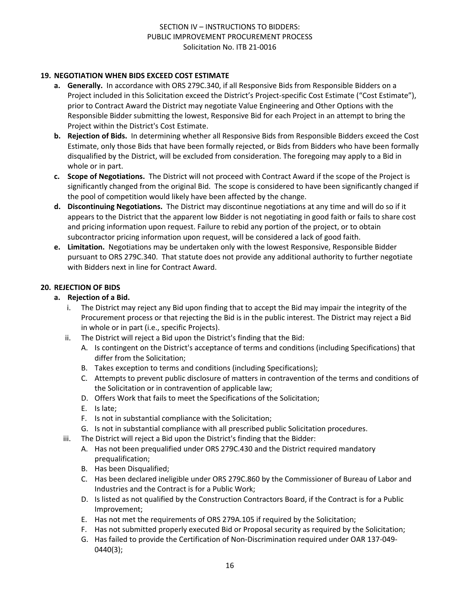### **19. NEGOTIATION WHEN BIDS EXCEED COST ESTIMATE**

- **a. Generally.** In accordance with ORS 279C.340, if all Responsive Bids from Responsible Bidders on a Project included in this Solicitation exceed the District's Project-specific Cost Estimate ("Cost Estimate"), prior to Contract Award the District may negotiate Value Engineering and Other Options with the Responsible Bidder submitting the lowest, Responsive Bid for each Project in an attempt to bring the Project within the District's Cost Estimate.
- **b. Rejection of Bids.** In determining whether all Responsive Bids from Responsible Bidders exceed the Cost Estimate, only those Bids that have been formally rejected, or Bids from Bidders who have been formally disqualified by the District, will be excluded from consideration. The foregoing may apply to a Bid in whole or in part.
- **c. Scope of Negotiations.** The District will not proceed with Contract Award if the scope of the Project is significantly changed from the original Bid. The scope is considered to have been significantly changed if the pool of competition would likely have been affected by the change.
- **d. Discontinuing Negotiations.** The District may discontinue negotiations at any time and will do so if it appears to the District that the apparent low Bidder is not negotiating in good faith or fails to share cost and pricing information upon request. Failure to rebid any portion of the project, or to obtain subcontractor pricing information upon request, will be considered a lack of good faith.
- **e. Limitation.** Negotiations may be undertaken only with the lowest Responsive, Responsible Bidder pursuant to ORS 279C.340. That statute does not provide any additional authority to further negotiate with Bidders next in line for Contract Award.

### **20. REJECTION OF BIDS**

#### **a. Rejection of a Bid.**

- i. The District may reject any Bid upon finding that to accept the Bid may impair the integrity of the Procurement process or that rejecting the Bid is in the public interest. The District may reject a Bid in whole or in part (i.e., specific Projects).
- ii. The District will reject a Bid upon the District's finding that the Bid:
	- A. Is contingent on the District's acceptance of terms and conditions (including Specifications) that differ from the Solicitation;
	- B. Takes exception to terms and conditions (including Specifications);
	- C. Attempts to prevent public disclosure of matters in contravention of the terms and conditions of the Solicitation or in contravention of applicable law;
	- D. Offers Work that fails to meet the Specifications of the Solicitation;
	- E. Is late;
	- F. Is not in substantial compliance with the Solicitation;
	- G. Is not in substantial compliance with all prescribed public Solicitation procedures.
- iii. The District will reject a Bid upon the District's finding that the Bidder:
	- A. Has not been prequalified under ORS 279C.430 and the District required mandatory prequalification;
	- B. Has been Disqualified;
	- C. Has been declared ineligible under ORS 279C.860 by the Commissioner of Bureau of Labor and Industries and the Contract is for a Public Work;
	- D. Is listed as not qualified by the Construction Contractors Board, if the Contract is for a Public Improvement;
	- E. Has not met the requirements of ORS 279A.105 if required by the Solicitation;
	- F. Has not submitted properly executed Bid or Proposal security as required by the Solicitation;
	- G. Has failed to provide the Certification of Non-Discrimination required under OAR 137-049- 0440(3);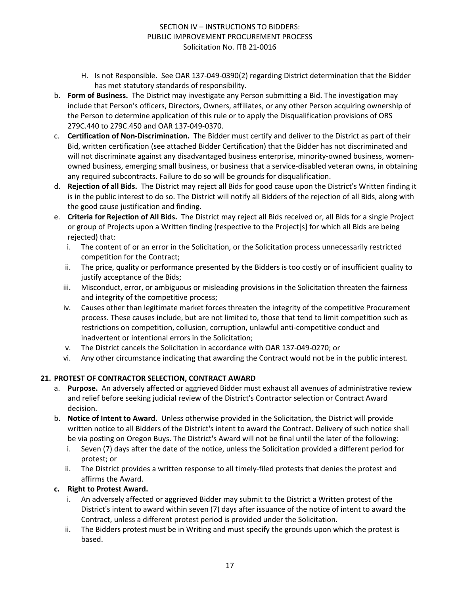- H. Is not Responsible. See OAR 137-049-0390(2) regarding District determination that the Bidder has met statutory standards of responsibility.
- b. **Form of Business.** The District may investigate any Person submitting a Bid. The investigation may include that Person's officers, Directors, Owners, affiliates, or any other Person acquiring ownership of the Person to determine application of this rule or to apply the Disqualification provisions of ORS 279C.440 to 279C.450 and OAR 137-049-0370.
- c. **Certification of Non-Discrimination.** The Bidder must certify and deliver to the District as part of their Bid, written certification (see attached Bidder Certification) that the Bidder has not discriminated and will not discriminate against any disadvantaged business enterprise, minority-owned business, womenowned business, emerging small business, or business that a service-disabled veteran owns, in obtaining any required subcontracts. Failure to do so will be grounds for disqualification.
- d. **Rejection of all Bids.** The District may reject all Bids for good cause upon the District's Written finding it is in the public interest to do so. The District will notify all Bidders of the rejection of all Bids, along with the good cause justification and finding.
- e. **Criteria for Rejection of All Bids.** The District may reject all Bids received or, all Bids for a single Project or group of Projects upon a Written finding (respective to the Project[s] for which all Bids are being rejected) that:
	- i. The content of or an error in the Solicitation, or the Solicitation process unnecessarily restricted competition for the Contract;
	- ii. The price, quality or performance presented by the Bidders is too costly or of insufficient quality to justify acceptance of the Bids;
	- iii. Misconduct, error, or ambiguous or misleading provisions in the Solicitation threaten the fairness and integrity of the competitive process;
	- iv. Causes other than legitimate market forces threaten the integrity of the competitive Procurement process. These causes include, but are not limited to, those that tend to limit competition such as restrictions on competition, collusion, corruption, unlawful anti-competitive conduct and inadvertent or intentional errors in the Solicitation;
	- v. The District cancels the Solicitation in accordance with OAR 137-049-0270; or
	- vi. Any other circumstance indicating that awarding the Contract would not be in the public interest.

## **21. PROTEST OF CONTRACTOR SELECTION, CONTRACT AWARD**

- a. **Purpose.** An adversely affected or aggrieved Bidder must exhaust all avenues of administrative review and relief before seeking judicial review of the District's Contractor selection or Contract Award decision.
- b. **Notice of Intent to Award.** Unless otherwise provided in the Solicitation, the District will provide written notice to all Bidders of the District's intent to award the Contract. Delivery of such notice shall be via posting on Oregon Buys. The District's Award will not be final until the later of the following:
	- i. Seven (7) days after the date of the notice, unless the Solicitation provided a different period for protest; or
	- ii. The District provides a written response to all timely-filed protests that denies the protest and affirms the Award.

## **c. Right to Protest Award.**

- i. An adversely affected or aggrieved Bidder may submit to the District a Written protest of the District's intent to award within seven (7) days after issuance of the notice of intent to award the Contract, unless a different protest period is provided under the Solicitation.
- ii. The Bidders protest must be in Writing and must specify the grounds upon which the protest is based.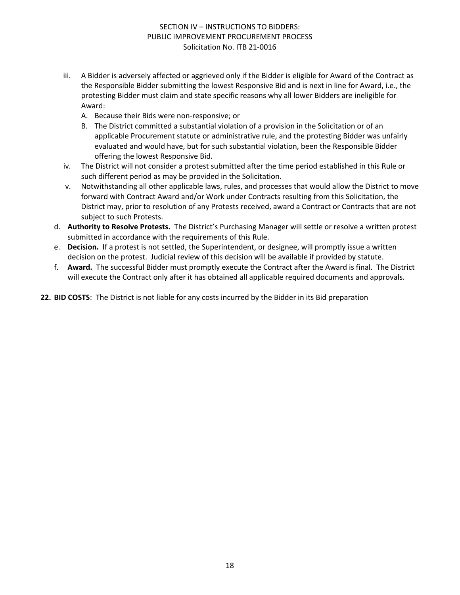- iii. A Bidder is adversely affected or aggrieved only if the Bidder is eligible for Award of the Contract as the Responsible Bidder submitting the lowest Responsive Bid and is next in line for Award, i.e., the protesting Bidder must claim and state specific reasons why all lower Bidders are ineligible for Award:
	- A. Because their Bids were non-responsive; or
	- B. The District committed a substantial violation of a provision in the Solicitation or of an applicable Procurement statute or administrative rule, and the protesting Bidder was unfairly evaluated and would have, but for such substantial violation, been the Responsible Bidder offering the lowest Responsive Bid.
- iv. The District will not consider a protest submitted after the time period established in this Rule or such different period as may be provided in the Solicitation.
- v. Notwithstanding all other applicable laws, rules, and processes that would allow the District to move forward with Contract Award and/or Work under Contracts resulting from this Solicitation, the District may, prior to resolution of any Protests received, award a Contract or Contracts that are not subject to such Protests.
- d. **Authority to Resolve Protests.** The District's Purchasing Manager will settle or resolve a written protest submitted in accordance with the requirements of this Rule.
- e. **Decision.** If a protest is not settled, the Superintendent, or designee, will promptly issue a written decision on the protest. Judicial review of this decision will be available if provided by statute.
- f. **Award.** The successful Bidder must promptly execute the Contract after the Award is final. The District will execute the Contract only after it has obtained all applicable required documents and approvals.

**22. BID COSTS**: The District is not liable for any costs incurred by the Bidder in its Bid preparation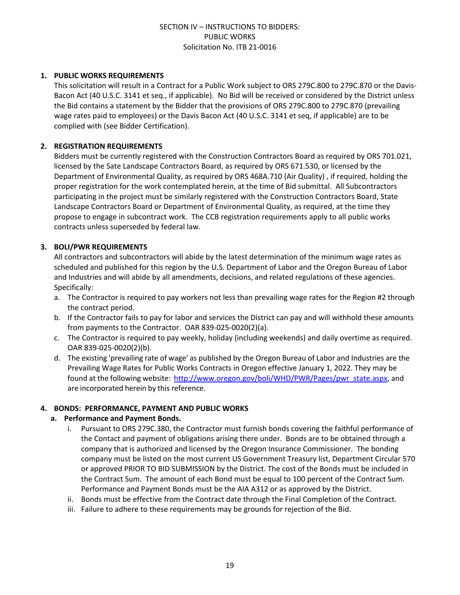#### **1. PUBLIC WORKS REQUIREMENTS**

This solicitation will result in a Contract for a Public Work subject to ORS 279C.800 to 279C.870 or the Davis-Bacon Act (40 U.S.C. 3141 et seq., if applicable). No Bid will be received or considered by the District unless the Bid contains a statement by the Bidder that the provisions of ORS 279C.800 to 279C.870 (prevailing wage rates paid to employees) or the Davis Bacon Act (40 U.S.C. 3141 et seq, if applicable) are to be complied with (see Bidder Certification).

#### **2. REGISTRATION REQUIREMENTS**

Bidders must be currently registered with the Construction Contractors Board as required by ORS 701.021, licensed by the Sate Landscape Contractors Board, as required by ORS 671.530, or licensed by the Department of Environmental Quality, as required by ORS 468A.710 (Air Quality) , if required, holding the proper registration for the work contemplated herein, at the time of Bid submittal. All Subcontractors participating in the project must be similarly registered with the Construction Contractors Board, State Landscape Contractors Board or Department of Environmental Quality, as required, at the time they propose to engage in subcontract work. The CCB registration requirements apply to all public works contracts unless superseded by federal law.

### **3. BOLI/PWR REQUIREMENTS**

All contractors and subcontractors will abide by the latest determination of the minimum wage rates as scheduled and published for this region by the U.S. Department of Labor and the Oregon Bureau of Labor and Industries and will abide by all amendments, decisions, and related regulations of these agencies. Specifically:

- a. The Contractor is required to pay workers not less than prevailing wage rates for the Region #2 through the contract period.
- b. If the Contractor fails to pay for labor and services the District can pay and will withhold these amounts from payments to the Contractor. OAR 839-025-0020(2)(a).
- c. The Contractor is required to pay weekly, holiday (including weekends) and daily overtime as required. OAR 839-025-0020(2)(b).
- d. The existing 'prevailing rate of wage' as published by the Oregon Bureau of Labor and Industries are the Prevailing Wage Rates for Public Works Contracts in Oregon effective January 1, 2022. They may be found at the following website: [http://www.oregon.gov/boli/WHD/PWR/Pages/pwr\\_state.aspx,](http://www.oregon.gov/boli/WHD/PWR/Pages/pwr_state.aspx) and are incorporated herein by this reference.

#### **4. BONDS: PERFORMANCE, PAYMENT AND PUBLIC WORKS**

#### **a. Performance and Payment Bonds.**

- i. Pursuant to ORS 279C.380, the Contractor must furnish bonds covering the faithful performance of the Contact and payment of obligations arising there under. Bonds are to be obtained through a company that is authorized and licensed by the Oregon Insurance Commissioner. The bonding company must be listed on the most current US Government Treasury list, Department Circular 570 or approved PRIOR TO BID SUBMISSION by the District. The cost of the Bonds must be included in the Contract Sum. The amount of each Bond must be equal to 100 percent of the Contract Sum. Performance and Payment Bonds must be the AIA A312 or as approved by the District.
- ii. Bonds must be effective from the Contract date through the Final Completion of the Contract.
- iii. Failure to adhere to these requirements may be grounds for rejection of the Bid.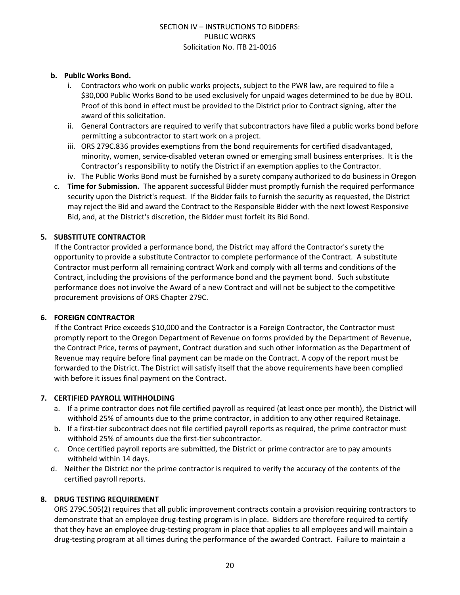#### **b. Public Works Bond.**

- i. Contractors who work on public works projects, subject to the PWR law, are required to file a \$30,000 Public Works Bond to be used exclusively for unpaid wages determined to be due by BOLI. Proof of this bond in effect must be provided to the District prior to Contract signing, after the award of this solicitation.
- ii. General Contractors are required to verify that subcontractors have filed a public works bond before permitting a subcontractor to start work on a project.
- iii. ORS 279C.836 provides exemptions from the bond requirements for certified disadvantaged, minority, women, service-disabled veteran owned or emerging small business enterprises. It is the Contractor's responsibility to notify the District if an exemption applies to the Contractor.
- iv. The Public Works Bond must be furnished by a surety company authorized to do business in Oregon
- c. **Time for Submission.** The apparent successful Bidder must promptly furnish the required performance security upon the District's request. If the Bidder fails to furnish the security as requested, the District may reject the Bid and award the Contract to the Responsible Bidder with the next lowest Responsive Bid, and, at the District's discretion, the Bidder must forfeit its Bid Bond.

### **5. SUBSTITUTE CONTRACTOR**

If the Contractor provided a performance bond, the District may afford the Contractor's surety the opportunity to provide a substitute Contractor to complete performance of the Contract. A substitute Contractor must perform all remaining contract Work and comply with all terms and conditions of the Contract, including the provisions of the performance bond and the payment bond. Such substitute performance does not involve the Award of a new Contract and will not be subject to the competitive procurement provisions of ORS Chapter 279C.

#### **6. FOREIGN CONTRACTOR**

If the Contract Price exceeds \$10,000 and the Contractor is a Foreign Contractor, the Contractor must promptly report to the Oregon Department of Revenue on forms provided by the Department of Revenue, the Contract Price, terms of payment, Contract duration and such other information as the Department of Revenue may require before final payment can be made on the Contract. A copy of the report must be forwarded to the District. The District will satisfy itself that the above requirements have been complied with before it issues final payment on the Contract.

## **7. CERTIFIED PAYROLL WITHHOLDING**

- a. If a prime contractor does not file certified payroll as required (at least once per month), the District will withhold 25% of amounts due to the prime contractor, in addition to any other required Retainage.
- b. If a first-tier subcontract does not file certified payroll reports as required, the prime contractor must withhold 25% of amounts due the first-tier subcontractor.
- c. Once certified payroll reports are submitted, the District or prime contractor are to pay amounts withheld within 14 days.
- d. Neither the District nor the prime contractor is required to verify the accuracy of the contents of the certified payroll reports.

## **8. DRUG TESTING REQUIREMENT**

ORS 279C.505(2) requires that all public improvement contracts contain a provision requiring contractors to demonstrate that an employee drug-testing program is in place. Bidders are therefore required to certify that they have an employee drug-testing program in place that applies to all employees and will maintain a drug-testing program at all times during the performance of the awarded Contract. Failure to maintain a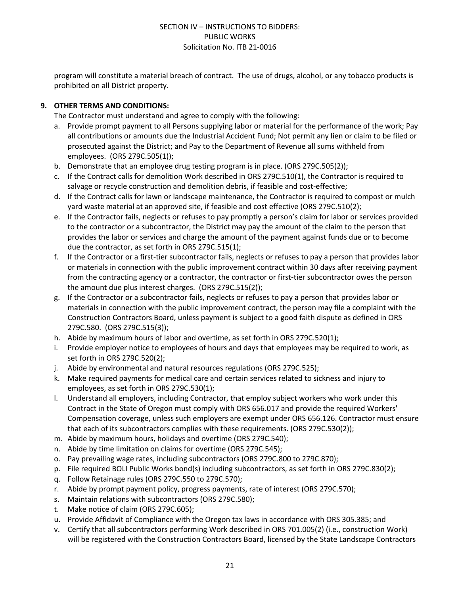program will constitute a material breach of contract. The use of drugs, alcohol, or any tobacco products is prohibited on all District property.

## **9. OTHER TERMS AND CONDITIONS:**

The Contractor must understand and agree to comply with the following:

- a. Provide prompt payment to all Persons supplying labor or material for the performance of the work; Pay all contributions or amounts due the Industrial Accident Fund; Not permit any lien or claim to be filed or prosecuted against the District; and Pay to the Department of Revenue all sums withheld from employees. (ORS 279C.505(1));
- b. Demonstrate that an employee drug testing program is in place. (ORS 279C.505(2));
- c. If the Contract calls for demolition Work described in ORS 279C.510(1), the Contractor is required to salvage or recycle construction and demolition debris, if feasible and cost-effective;
- d. If the Contract calls for lawn or landscape maintenance, the Contractor is required to compost or mulch yard waste material at an approved site, if feasible and cost effective (ORS 279C.510(2);
- e. If the Contractor fails, neglects or refuses to pay promptly a person's claim for labor or services provided to the contractor or a subcontractor, the District may pay the amount of the claim to the person that provides the labor or services and charge the amount of the payment against funds due or to become due the contractor, as set forth in ORS 279C.515(1);
- f. If the Contractor or a first-tier subcontractor fails, neglects or refuses to pay a person that provides labor or materials in connection with the public improvement contract within 30 days after receiving payment from the contracting agency or a contractor, the contractor or first-tier subcontractor owes the person the amount due plus interest charges. (ORS 279C.515(2));
- g. If the Contractor or a subcontractor fails, neglects or refuses to pay a person that provides labor or materials in connection with the public improvement contract, the person may file a complaint with the Construction Contractors Board, unless payment is subject to a good faith dispute as defined in ORS 279C.580. (ORS 279C.515(3));
- h. Abide by maximum hours of labor and overtime, as set forth in ORS 279C.520(1);
- i. Provide employer notice to employees of hours and days that employees may be required to work, as set forth in ORS 279C.520(2);
- j. Abide by environmental and natural resources regulations (ORS 279C.525);
- k. Make required payments for medical care and certain services related to sickness and injury to employees, as set forth in ORS 279C.530(1);
- l. Understand all employers, including Contractor, that employ subject workers who work under this Contract in the State of Oregon must comply with ORS 656.017 and provide the required Workers' Compensation coverage, unless such employers are exempt under ORS 656.126. Contractor must ensure that each of its subcontractors complies with these requirements. (ORS 279C.530(2));
- m. Abide by maximum hours, holidays and overtime (ORS 279C.540);
- n. Abide by time limitation on claims for overtime (ORS 279C.545);
- o. Pay prevailing wage rates, including subcontractors (ORS 279C.800 to 279C.870);
- p. File required BOLI Public Works bond(s) including subcontractors, as set forth in ORS 279C.830(2);
- q. Follow Retainage rules (ORS 279C.550 to 279C.570);
- r. Abide by prompt payment policy, progress payments, rate of interest (ORS 279C.570);
- s. Maintain relations with subcontractors (ORS 279C.580);
- t. Make notice of claim (ORS 279C.605);
- u. Provide Affidavit of Compliance with the Oregon tax laws in accordance with ORS 305.385; and
- v. Certify that all subcontractors performing Work described in ORS 701.005(2) (i.e., construction Work) will be registered with the Construction Contractors Board, licensed by the State Landscape Contractors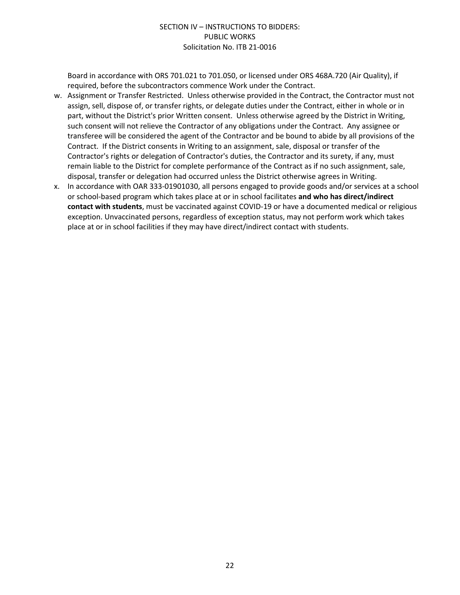Board in accordance with ORS 701.021 to 701.050, or licensed under ORS 468A.720 (Air Quality), if required, before the subcontractors commence Work under the Contract.

- w. Assignment or Transfer Restricted. Unless otherwise provided in the Contract, the Contractor must not assign, sell, dispose of, or transfer rights, or delegate duties under the Contract, either in whole or in part, without the District's prior Written consent. Unless otherwise agreed by the District in Writing, such consent will not relieve the Contractor of any obligations under the Contract. Any assignee or transferee will be considered the agent of the Contractor and be bound to abide by all provisions of the Contract. If the District consents in Writing to an assignment, sale, disposal or transfer of the Contractor's rights or delegation of Contractor's duties, the Contractor and its surety, if any, must remain liable to the District for complete performance of the Contract as if no such assignment, sale, disposal, transfer or delegation had occurred unless the District otherwise agrees in Writing.
- x. In accordance with OAR 333-01901030, all persons engaged to provide goods and/or services at a school or school-based program which takes place at or in school facilitates **and who has direct/indirect contact with students**, must be vaccinated against COVID-19 or have a documented medical or religious exception. Unvaccinated persons, regardless of exception status, may not perform work which takes place at or in school facilities if they may have direct/indirect contact with students.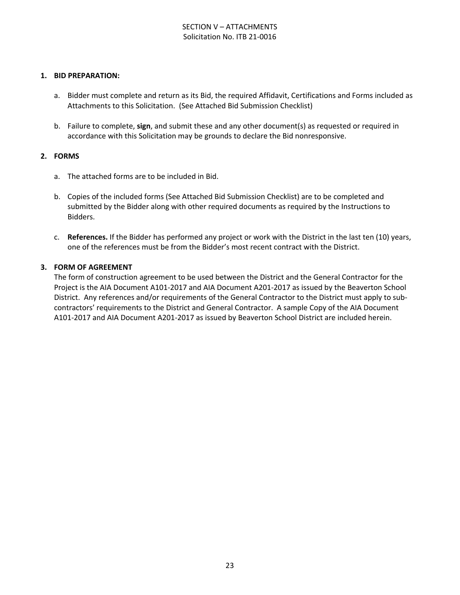## SECTION V – ATTACHMENTS Solicitation No. ITB 21-0016

#### **1. BID PREPARATION:**

- a. Bidder must complete and return as its Bid, the required Affidavit, Certifications and Forms included as Attachments to this Solicitation. (See Attached Bid Submission Checklist)
- b. Failure to complete, **sign**, and submit these and any other document(s) as requested or required in accordance with this Solicitation may be grounds to declare the Bid nonresponsive.

#### **2. FORMS**

- a. The attached forms are to be included in Bid.
- b. Copies of the included forms (See Attached Bid Submission Checklist) are to be completed and submitted by the Bidder along with other required documents as required by the Instructions to Bidders.
- c. **References.** If the Bidder has performed any project or work with the District in the last ten (10) years, one of the references must be from the Bidder's most recent contract with the District.

#### **3. FORM OF AGREEMENT**

The form of construction agreement to be used between the District and the General Contractor for the Project is the AIA Document A101-2017 and AIA Document A201-2017 as issued by the Beaverton School District. Any references and/or requirements of the General Contractor to the District must apply to subcontractors' requirements to the District and General Contractor. A sample Copy of the AIA Document A101-2017 and AIA Document A201-2017 as issued by Beaverton School District are included herein.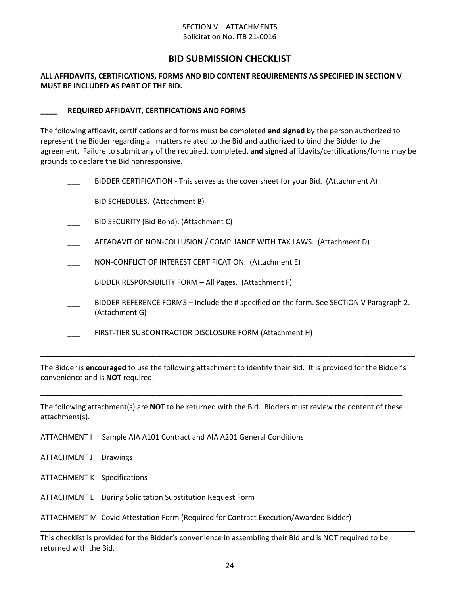#### SECTION V – ATTACHMENTS Solicitation No. ITB 21-0016

## **BID SUBMISSION CHECKLIST**

#### **ALL AFFIDAVITS, CERTIFICATIONS, FORMS AND BID CONTENT REQUIREMENTS AS SPECIFIED IN SECTION V MUST BE INCLUDED AS PART OF THE BID.**

#### **\_\_\_\_ REQUIRED AFFIDAVIT, CERTIFICATIONS AND FORMS**

The following affidavit, certifications and forms must be completed **and signed** by the person authorized to represent the Bidder regarding all matters related to the Bid and authorized to bind the Bidder to the agreement. Failure to submit any of the required, completed, **and signed** affidavits/certifications/forms may be grounds to declare the Bid nonresponsive.

|  | BIDDER CERTIFICATION - This serves as the cover sheet for your Bid. (Attachment A)                         |
|--|------------------------------------------------------------------------------------------------------------|
|  | BID SCHEDULES. (Attachment B)                                                                              |
|  | BID SECURITY (Bid Bond). (Attachment C)                                                                    |
|  | AFFADAVIT OF NON-COLLUSION / COMPLIANCE WITH TAX LAWS. (Attachment D)                                      |
|  | NON-CONFLICT OF INTEREST CERTIFICATION. (Attachment E)                                                     |
|  | BIDDER RESPONSIBILITY FORM - All Pages. (Attachment F)                                                     |
|  | BIDDER REFERENCE FORMS – Include the # specified on the form. See SECTION V Paragraph 2.<br>(Attachment G) |
|  | FIRST-TIER SUBCONTRACTOR DISCLOSURE FORM (Attachment H)                                                    |
|  |                                                                                                            |

The Bidder is **encouraged** to use the following attachment to identify their Bid. It is provided for the Bidder's convenience and is **NOT** required.

The following attachment(s) are **NOT** to be returned with the Bid. Bidders must review the content of these attachment(s).

**\_\_\_\_\_\_\_\_\_\_\_\_\_\_\_\_\_\_\_\_\_\_\_\_\_\_\_\_\_\_\_\_\_\_\_\_\_\_\_\_\_\_\_\_\_\_\_\_\_\_\_\_\_\_\_\_\_\_\_\_\_\_\_\_\_\_\_\_\_\_\_\_\_\_\_\_\_\_\_\_\_\_\_\_\_\_\_\_**

- ATTACHMENT I Sample AIA A101 Contract and AIA A201 General Conditions
- ATTACHMENT J Drawings
- ATTACHMENT K Specifications
- ATTACHMENT L During Solicitation Substitution Request Form

ATTACHMENT M Covid Attestation Form (Required for Contract Execution/Awarded Bidder)

This checklist is provided for the Bidder's convenience in assembling their Bid and is NOT required to be returned with the Bid.

**\_\_\_\_\_\_\_\_\_\_\_\_\_\_\_\_\_\_\_\_\_\_\_\_\_\_\_\_\_\_\_\_\_\_\_\_\_\_\_\_\_\_\_\_\_\_\_\_\_\_\_\_\_\_\_\_\_\_\_\_\_\_\_\_\_\_\_\_\_\_\_\_\_\_\_\_\_\_\_\_\_\_\_\_\_\_\_\_\_\_\_**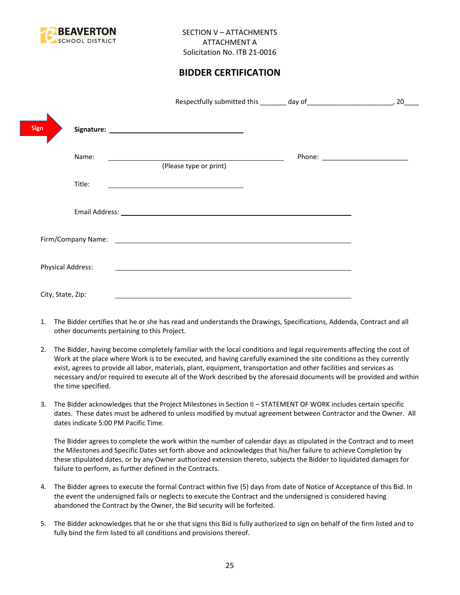

## **BIDDER CERTIFICATION**

|                          |                        | 20                                |
|--------------------------|------------------------|-----------------------------------|
| Sign                     |                        |                                   |
| Name:                    | (Please type or print) | Phone: __________________________ |
| Title:                   |                        |                                   |
|                          |                        |                                   |
|                          |                        |                                   |
| <b>Physical Address:</b> |                        |                                   |
| City, State, Zip:        |                        |                                   |

- 1. The Bidder certifies that he or she has read and understands the Drawings, Specifications, Addenda, Contract and all other documents pertaining to this Project.
- 2. The Bidder, having become completely familiar with the local conditions and legal requirements affecting the cost of Work at the place where Work is to be executed, and having carefully examined the site conditions as they currently exist, agrees to provide all labor, materials, plant, equipment, transportation and other facilities and services as necessary and/or required to execute all of the Work described by the aforesaid documents will be provided and within the time specified.
- 3. The Bidder acknowledges that the Project Milestones in Section II STATEMENT OF WORK includes certain specific dates. These dates must be adhered to unless modified by mutual agreement between Contractor and the Owner. All dates indicate 5:00 PM Pacific Time.

The Bidder agrees to complete the work within the number of calendar days as stipulated in the Contract and to meet the Milestones and Specific Dates set forth above and acknowledges that his/her failure to achieve Completion by these stipulated dates, or by any Owner authorized extension thereto, subjects the Bidder to liquidated damages for failure to perform, as further defined in the Contracts.

- 4. The Bidder agrees to execute the formal Contract within five (5) days from date of Notice of Acceptance of this Bid. In the event the undersigned fails or neglects to execute the Contract and the undersigned is considered having abandoned the Contract by the Owner, the Bid security will be forfeited.
- 5. The Bidder acknowledges that he or she that signs this Bid is fully authorized to sign on behalf of the firm listed and to fully bind the firm listed to all conditions and provisions thereof.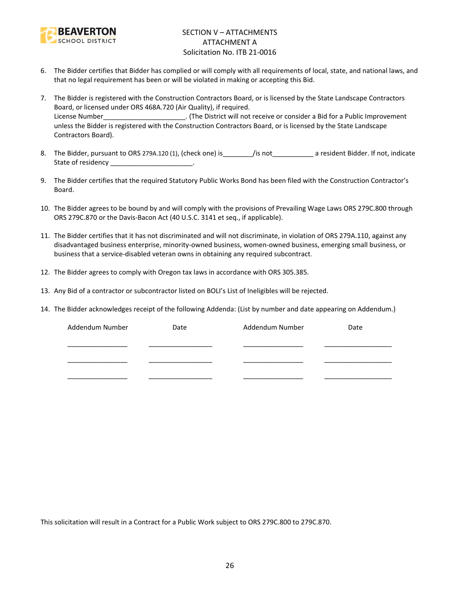

## SECTION V – ATTACHMENTS ATTACHMENT A Solicitation No. ITB 21-0016

- 6. The Bidder certifies that Bidder has complied or will comply with all requirements of local, state, and national laws, and that no legal requirement has been or will be violated in making or accepting this Bid.
- 7. The Bidder is registered with the Construction Contractors Board, or is licensed by the State Landscape Contractors Board, or licensed under ORS 468A.720 (Air Quality), if required. License Number\_\_\_\_\_\_\_\_\_\_\_\_\_\_\_\_\_\_\_\_\_\_. (The District will not receive or consider a Bid for a Public Improvement unless the Bidder is registered with the Construction Contractors Board, or is licensed by the State Landscape Contractors Board).
- 8. The Bidder, pursuant to ORS 279A.120 (1), (check one) is\_\_\_\_\_\_\_\_/is not\_\_\_\_\_\_\_\_\_\_\_ a resident Bidder. If not, indicate State of residency and the state of residency
- 9. The Bidder certifies that the required Statutory Public Works Bond has been filed with the Construction Contractor's Board.
- 10. The Bidder agrees to be bound by and will comply with the provisions of Prevailing Wage Laws ORS 279C.800 through ORS 279C.870 or the Davis-Bacon Act (40 U.S.C. 3141 et seq., if applicable).
- 11. The Bidder certifies that it has not discriminated and will not discriminate, in violation of ORS 279A.110, against any disadvantaged business enterprise, minority-owned business, women-owned business, emerging small business, or business that a service-disabled veteran owns in obtaining any required subcontract.
- 12. The Bidder agrees to comply with Oregon tax laws in accordance with ORS 305.385.
- 13. Any Bid of a contractor or subcontractor listed on BOLI's List of Ineligibles will be rejected.
- 14. The Bidder acknowledges receipt of the following Addenda: (List by number and date appearing on Addendum.)

| Addendum Number | Date | Addendum Number | Date |
|-----------------|------|-----------------|------|
|                 |      |                 |      |
|                 |      |                 |      |
|                 |      |                 |      |

This solicitation will result in a Contract for a Public Work subject to ORS 279C.800 to 279C.870.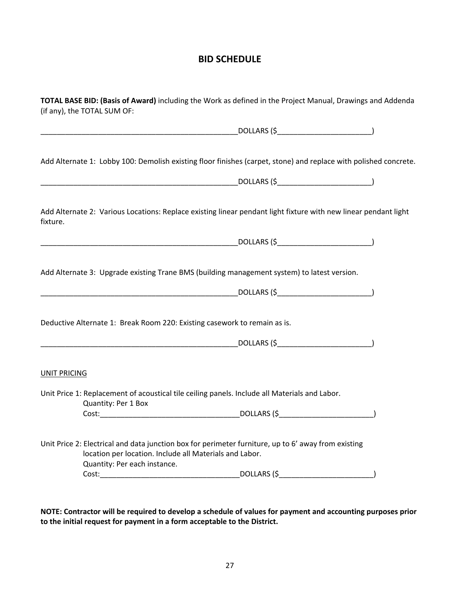## **BID SCHEDULE**

| TOTAL BASE BID: (Basis of Award) including the Work as defined in the Project Manual, Drawings and Addenda<br>(if any), the TOTAL SUM OF: |                                                                                         |                                                                                                                                                                                                                                       |  |  |
|-------------------------------------------------------------------------------------------------------------------------------------------|-----------------------------------------------------------------------------------------|---------------------------------------------------------------------------------------------------------------------------------------------------------------------------------------------------------------------------------------|--|--|
|                                                                                                                                           |                                                                                         |                                                                                                                                                                                                                                       |  |  |
|                                                                                                                                           |                                                                                         | Add Alternate 1: Lobby 100: Demolish existing floor finishes (carpet, stone) and replace with polished concrete.                                                                                                                      |  |  |
|                                                                                                                                           |                                                                                         |                                                                                                                                                                                                                                       |  |  |
| fixture.                                                                                                                                  |                                                                                         | Add Alternate 2: Various Locations: Replace existing linear pendant light fixture with new linear pendant light                                                                                                                       |  |  |
|                                                                                                                                           |                                                                                         |                                                                                                                                                                                                                                       |  |  |
|                                                                                                                                           |                                                                                         | Add Alternate 3: Upgrade existing Trane BMS (building management system) to latest version.                                                                                                                                           |  |  |
|                                                                                                                                           |                                                                                         |                                                                                                                                                                                                                                       |  |  |
|                                                                                                                                           | Deductive Alternate 1: Break Room 220: Existing casework to remain as is.               |                                                                                                                                                                                                                                       |  |  |
|                                                                                                                                           |                                                                                         | <u>DOLLARS (\$NAND CONSUMING THE SECOND CONSUMING TO DELEVAN AND THE SECOND CONSUMING THE SECOND CONSUMING THE SECOND CONSUMING THE SECOND CONSUMING THE SECOND CONSUMING THE SECOND CONSUMING THE SECOND CONSUMING THE SECOND CO</u> |  |  |
| <b>UNIT PRICING</b>                                                                                                                       |                                                                                         |                                                                                                                                                                                                                                       |  |  |
|                                                                                                                                           | Quantity: Per 1 Box                                                                     | Unit Price 1: Replacement of acoustical tile ceiling panels. Include all Materials and Labor.                                                                                                                                         |  |  |
|                                                                                                                                           |                                                                                         |                                                                                                                                                                                                                                       |  |  |
|                                                                                                                                           | location per location. Include all Materials and Labor.<br>Quantity: Per each instance. | Unit Price 2: Electrical and data junction box for perimeter furniture, up to 6' away from existing                                                                                                                                   |  |  |
|                                                                                                                                           |                                                                                         |                                                                                                                                                                                                                                       |  |  |

**NOTE: Contractor will be required to develop a schedule of values for payment and accounting purposes prior to the initial request for payment in a form acceptable to the District.**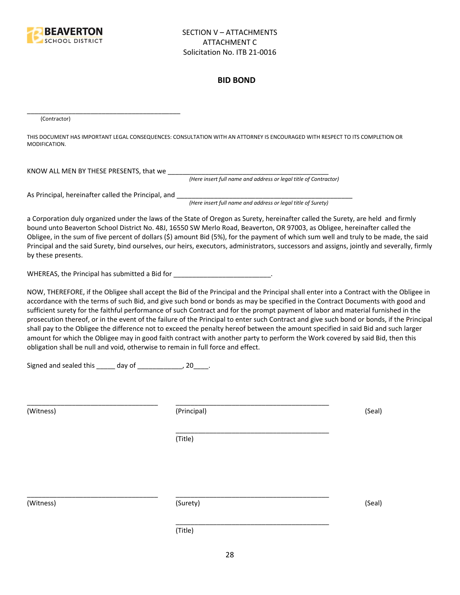

#### **BID BOND**

(Contractor)

THIS DOCUMENT HAS IMPORTANT LEGAL CONSEQUENCES: CONSULTATION WITH AN ATTORNEY IS ENCOURAGED WITH RESPECT TO ITS COMPLETION OR MODIFICATION.

KNOW ALL MEN BY THESE PRESENTS, that we \_\_\_\_\_\_\_\_\_\_\_\_\_\_\_\_\_\_\_\_\_\_\_\_\_\_\_\_\_\_\_\_\_\_\_\_\_\_\_\_\_\_\_

*(Here insert full name and address or legal title of Contractor)*

As Principal, hereinafter called the Principal, and \_\_\_\_\_\_\_\_\_\_\_\_\_\_\_\_\_\_\_\_\_\_\_\_\_\_\_\_

\_\_\_\_\_\_\_\_\_\_\_\_\_\_\_\_\_\_\_\_\_\_\_\_\_\_\_\_\_\_\_\_\_\_\_\_\_\_\_\_\_

*(Here insert full name and address or legal title of Surety)*

a Corporation duly organized under the laws of the State of Oregon as Surety, hereinafter called the Surety, are held and firmly bound unto Beaverton School District No. 48J, 16550 SW Merlo Road, Beaverton, OR 97003, as Obligee, hereinafter called the Obligee, in the sum of five percent of dollars (\$) amount Bid (5%), for the payment of which sum well and truly to be made, the said Principal and the said Surety, bind ourselves, our heirs, executors, administrators, successors and assigns, jointly and severally, firmly by these presents.

WHEREAS, the Principal has submitted a Bid for \_\_\_\_\_\_\_\_\_\_\_\_\_\_\_\_\_\_\_\_\_\_\_\_\_\_\_\_\_\_\_\_\_

NOW, THEREFORE, if the Obligee shall accept the Bid of the Principal and the Principal shall enter into a Contract with the Obligee in accordance with the terms of such Bid, and give such bond or bonds as may be specified in the Contract Documents with good and sufficient surety for the faithful performance of such Contract and for the prompt payment of labor and material furnished in the prosecution thereof, or in the event of the failure of the Principal to enter such Contract and give such bond or bonds, if the Principal shall pay to the Obligee the difference not to exceed the penalty hereof between the amount specified in said Bid and such larger amount for which the Obligee may in good faith contract with another party to perform the Work covered by said Bid, then this obligation shall be null and void, otherwise to remain in full force and effect.

\_\_\_\_\_\_\_\_\_\_\_\_\_\_\_\_\_\_\_\_\_\_\_\_\_\_\_\_\_\_\_\_\_\_\_\_\_\_\_\_\_

\_\_\_\_\_\_\_\_\_\_\_\_\_\_\_\_\_\_\_\_\_\_\_\_\_\_\_\_\_\_\_\_\_\_\_\_\_\_\_\_\_

Signed and sealed this \_\_\_\_\_ day of \_\_\_\_\_\_\_\_\_\_\_, 20\_\_\_\_.

(Witness) (Principal) (Seal)

(Title)

\_\_\_\_\_\_\_\_\_\_\_\_\_\_\_\_\_\_\_\_\_\_\_\_\_\_\_\_\_\_\_\_\_\_\_ \_\_\_\_\_\_\_\_\_\_\_\_\_\_\_\_\_\_\_\_\_\_\_\_\_\_\_\_\_\_\_\_\_\_\_\_\_\_\_\_\_

(Witness) (Surety) (Seal)

\_\_\_\_\_\_\_\_\_\_\_\_\_\_\_\_\_\_\_\_\_\_\_\_\_\_\_\_\_\_\_\_\_\_\_ \_\_\_\_\_\_\_\_\_\_\_\_\_\_\_\_\_\_\_\_\_\_\_\_\_\_\_\_\_\_\_\_\_\_\_\_\_\_\_\_\_

(Title)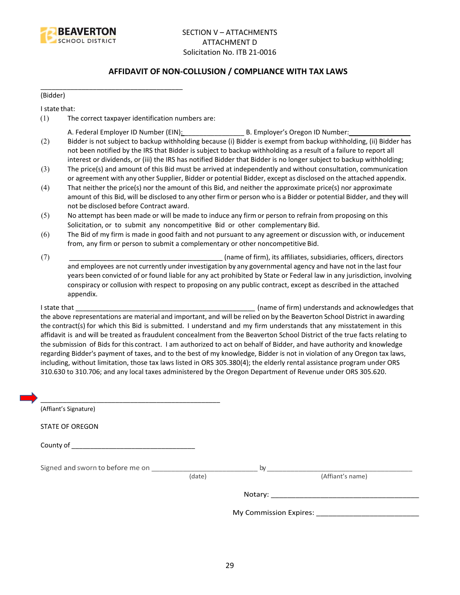

## **AFFIDAVIT OF NON-COLLUSION / COMPLIANCE WITH TAX LAWS**

(Bidder)

I state that:

(1) The correct taxpayer identification numbers are:

\_\_\_\_\_\_\_\_\_\_\_\_\_\_\_\_\_\_\_\_\_\_\_\_\_\_\_\_\_\_\_\_\_\_\_\_\_\_

- A. Federal Employer ID Number (EIN): \_\_\_\_\_\_\_\_\_\_\_\_\_\_\_\_ B. Employer's Oregon ID Number: \_\_\_\_\_\_\_\_\_\_\_\_\_\_\_\_
- (2) Bidder is not subject to backup withholding because (i) Bidder is exempt from backup withholding, (ii) Bidder has not been notified by the IRS that Bidder is subject to backup withholding as a result of a failure to report all interest or dividends, or (iii) the IRS has notified Bidder that Bidder is no longer subject to backup withholding;
- (3) The price(s) and amount of this Bid must be arrived at independently and without consultation, communication or agreement with any other Supplier, Bidder or potential Bidder, except as disclosed on the attached appendix.
- (4) That neither the price(s) nor the amount of this Bid, and neither the approximate price(s) nor approximate amount of this Bid, will be disclosed to any other firm or person who is a Bidder or potential Bidder, and they will not be disclosed before Contract award.
- (5) No attempt has been made or will be made to induce any firm or person to refrain from proposing on this Solicitation, or to submit any noncompetitive Bid or other complementary Bid.
- (6) The Bid of my firm is made in good faith and not pursuant to any agreement or discussion with, or inducement from, any firm or person to submit a complementary or other noncompetitive Bid.
- (7) \_\_\_\_\_\_\_\_\_\_\_\_\_\_\_\_\_\_\_\_\_\_\_\_\_\_\_\_\_\_\_\_\_\_\_\_\_\_\_\_\_ (name of firm), its affiliates, subsidiaries, officers, directors and employees are not currently under investigation by any governmental agency and have not in the last four years been convicted of or found liable for any act prohibited by State or Federal law in any jurisdiction, involving conspiracy or collusion with respect to proposing on any public contract, except as described in the attached appendix.

I state that **I state that**  $\blacksquare$  (name of firm) understands and acknowledges that the above representations are material and important, and will be relied on by the Beaverton School District in awarding the contract(s) for which this Bid is submitted. I understand and my firm understands that any misstatement in this affidavit is and will be treated as fraudulent concealment from the Beaverton School District of the true facts relating to the submission of Bids for this contract. I am authorized to act on behalf of Bidder, and have authority and knowledge regarding Bidder's payment of taxes, and to the best of my knowledge, Bidder is not in violation of any Oregon tax laws, including, without limitation, those tax laws listed in ORS 305.380(4); the elderly rental assistance program under ORS 310.630 to 310.706; and any local taxes administered by the Oregon Department of Revenue under ORS 305.620.

| (Affiant's Signature)            |        |                        |
|----------------------------------|--------|------------------------|
| <b>STATE OF OREGON</b>           |        |                        |
|                                  |        |                        |
| Signed and sworn to before me on |        | by                     |
|                                  | (date) | (Affiant's name)       |
|                                  |        |                        |
|                                  |        | My Commission Expires: |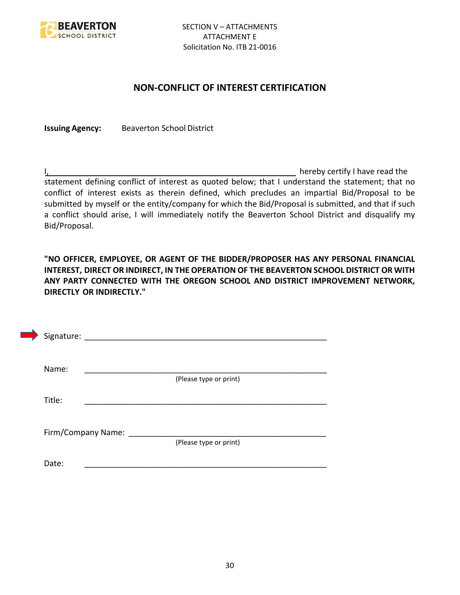

## **NON-CONFLICT OF INTEREST CERTIFICATION**

**Issuing Agency:** Beaverton School District

I, the contract of the contract of the contract of the contract of the hereby certify I have read the statement defining conflict of interest as quoted below; that I understand the statement; that no conflict of interest exists as therein defined, which precludes an impartial Bid/Proposal to be submitted by myself or the entity/company for which the Bid/Proposal is submitted, and that if such a conflict should arise, I will immediately notify the Beaverton School District and disqualify my Bid/Proposal.

**"NO OFFICER, EMPLOYEE, OR AGENT OF THE BIDDER/PROPOSER HAS ANY PERSONAL FINANCIAL INTEREST, DIRECT OR INDIRECT, IN THE OPERATION OF THE BEAVERTON SCHOOL DISTRICT OR WITH ANY PARTY CONNECTED WITH THE OREGON SCHOOL AND DISTRICT IMPROVEMENT NETWORK, DIRECTLY OR INDIRECTLY."**

| Signature: |                    |                        |  |
|------------|--------------------|------------------------|--|
| Name:      |                    |                        |  |
| Title:     |                    | (Please type or print) |  |
|            |                    |                        |  |
|            | Firm/Company Name: | (Please type or print) |  |
| Date:      |                    |                        |  |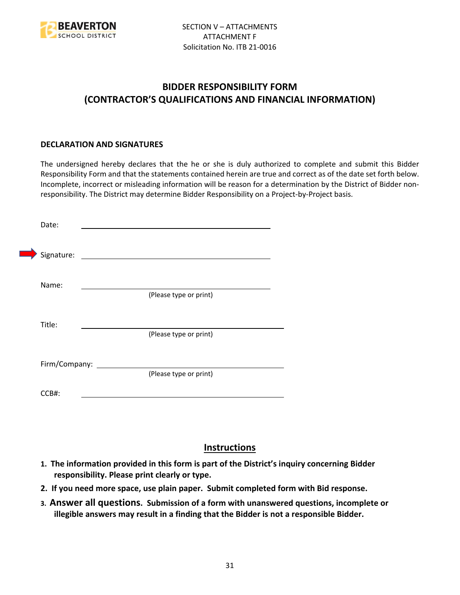

## **BIDDER RESPONSIBILITY FORM (CONTRACTOR'S QUALIFICATIONS AND FINANCIAL INFORMATION)**

## **DECLARATION AND SIGNATURES**

The undersigned hereby declares that the he or she is duly authorized to complete and submit this Bidder Responsibility Form and that the statements contained herein are true and correct as of the date set forth below. Incomplete, incorrect or misleading information will be reason for a determination by the District of Bidder nonresponsibility. The District may determine Bidder Responsibility on a Project-by-Project basis.

| Date:         |                                                             |
|---------------|-------------------------------------------------------------|
| Signature:    | the control of the control of the control of the control of |
| Name:         |                                                             |
|               | (Please type or print)                                      |
| Title:        |                                                             |
|               | (Please type or print)                                      |
| Firm/Company: |                                                             |
|               | (Please type or print)                                      |
| CCB#:         |                                                             |

## **Instructions**

- **1. The information provided in this form is part of the District's inquiry concerning Bidder responsibility. Please print clearly or type.**
- **2. If you need more space, use plain paper. Submit completed form with Bid response.**
- **3. Answer all questions. Submission of a form with unanswered questions, incomplete or illegible answers may result in a finding that the Bidder is not a responsible Bidder.**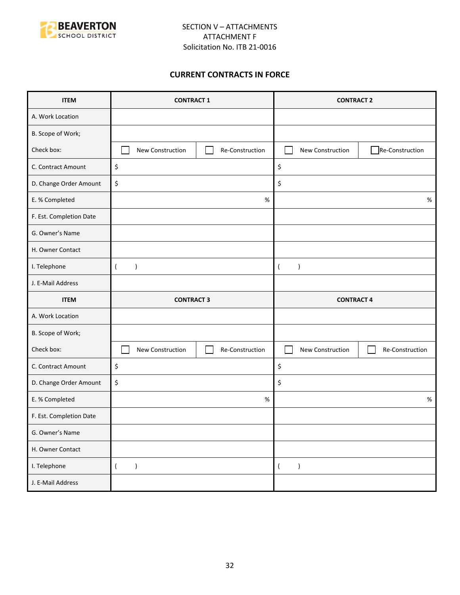

## **CURRENT CONTRACTS IN FORCE**

| <b>ITEM</b>             | <b>CONTRACT 1</b>               |                 | <b>CONTRACT 2</b>             |                 |
|-------------------------|---------------------------------|-----------------|-------------------------------|-----------------|
| A. Work Location        |                                 |                 |                               |                 |
| B. Scope of Work;       |                                 |                 |                               |                 |
| Check box:              | New Construction                | Re-Construction | New Construction              | Re-Construction |
| C. Contract Amount      | \$                              |                 | \$                            |                 |
| D. Change Order Amount  | \$                              |                 | \$                            |                 |
| E. % Completed          |                                 | $\%$            |                               | $\%$            |
| F. Est. Completion Date |                                 |                 |                               |                 |
| G. Owner's Name         |                                 |                 |                               |                 |
| H. Owner Contact        |                                 |                 |                               |                 |
| I. Telephone            | $\overline{(}$<br>$\mathcal{E}$ |                 | $\lambda$<br>$\overline{ }$   |                 |
| J. E-Mail Address       |                                 |                 |                               |                 |
|                         | <b>CONTRACT 3</b>               |                 |                               |                 |
| <b>ITEM</b>             |                                 |                 | <b>CONTRACT 4</b>             |                 |
| A. Work Location        |                                 |                 |                               |                 |
| B. Scope of Work;       |                                 |                 |                               |                 |
| Check box:              | New Construction                | Re-Construction | New Construction              | Re-Construction |
| C. Contract Amount      | \$                              |                 | \$                            |                 |
| D. Change Order Amount  | \$                              |                 | \$                            |                 |
| E. % Completed          |                                 | $\%$            |                               | $\%$            |
| F. Est. Completion Date |                                 |                 |                               |                 |
| G. Owner's Name         |                                 |                 |                               |                 |
| H. Owner Contact        |                                 |                 |                               |                 |
| I. Telephone            | $\overline{(\ }$<br>$\lambda$   |                 | $\lambda$<br>$\overline{(\ }$ |                 |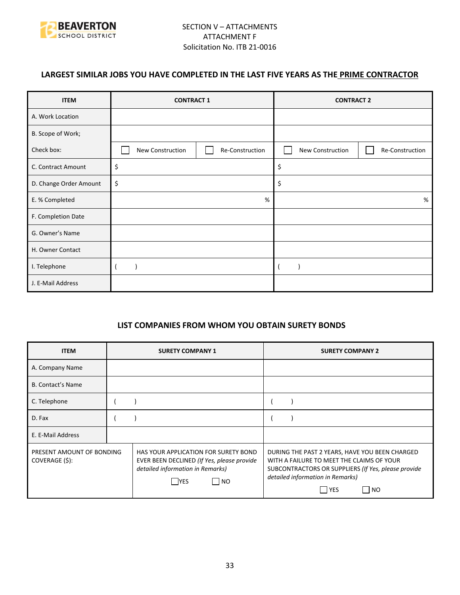

## **LARGEST SIMILAR JOBS YOU HAVE COMPLETED IN THE LAST FIVE YEARS AS THE PRIME CONTRACTOR**

| <b>ITEM</b>            | <b>CONTRACT 1</b> |                 | <b>CONTRACT 2</b> |                 |
|------------------------|-------------------|-----------------|-------------------|-----------------|
| A. Work Location       |                   |                 |                   |                 |
| B. Scope of Work;      |                   |                 |                   |                 |
| Check box:             | New Construction  | Re-Construction | New Construction  | Re-Construction |
| C. Contract Amount     | \$                |                 | \$                |                 |
| D. Change Order Amount | \$                |                 | \$                |                 |
| E. % Completed         |                   | %               |                   | %               |
| F. Completion Date     |                   |                 |                   |                 |
| G. Owner's Name        |                   |                 |                   |                 |
| H. Owner Contact       |                   |                 |                   |                 |
| I. Telephone           |                   |                 |                   |                 |
| J. E-Mail Address      |                   |                 |                   |                 |

## **LIST COMPANIES FROM WHOM YOU OBTAIN SURETY BONDS**

| <b>ITEM</b>                                 | <b>SURETY COMPANY 1</b>                                                                                                                      | <b>SURETY COMPANY 2</b>                                                                                                                                                                                                        |  |
|---------------------------------------------|----------------------------------------------------------------------------------------------------------------------------------------------|--------------------------------------------------------------------------------------------------------------------------------------------------------------------------------------------------------------------------------|--|
| A. Company Name                             |                                                                                                                                              |                                                                                                                                                                                                                                |  |
| <b>B. Contact's Name</b>                    |                                                                                                                                              |                                                                                                                                                                                                                                |  |
| C. Telephone                                |                                                                                                                                              |                                                                                                                                                                                                                                |  |
| D. Fax                                      |                                                                                                                                              |                                                                                                                                                                                                                                |  |
| E. E-Mail Address                           |                                                                                                                                              |                                                                                                                                                                                                                                |  |
| PRESENT AMOUNT OF BONDING<br>COVERAGE (\$): | HAS YOUR APPLICATION FOR SURETY BOND<br>EVER BEEN DECLINED (If Yes, please provide<br>detailed information in Remarks)<br> NO<br><b>IYES</b> | DURING THE PAST 2 YEARS, HAVE YOU BEEN CHARGED<br>WITH A FAILURE TO MEET THE CLAIMS OF YOUR<br>SUBCONTRACTORS OR SUPPLIERS (If Yes, please provide<br>detailed information in Remarks)<br>  YES<br>$\overline{\phantom{1}}$ NO |  |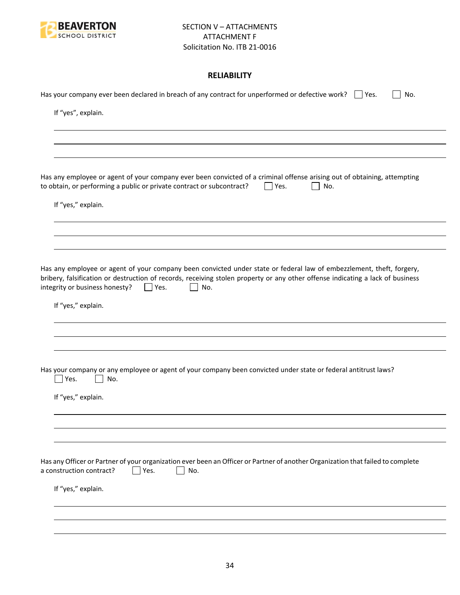

## **RELIABILITY**

| Has your company ever been declared in breach of any contract for unperformed or defective work? $\Box$ Yes.<br>No.                                                                                                                                                                                           |
|---------------------------------------------------------------------------------------------------------------------------------------------------------------------------------------------------------------------------------------------------------------------------------------------------------------|
| If "yes", explain.                                                                                                                                                                                                                                                                                            |
|                                                                                                                                                                                                                                                                                                               |
|                                                                                                                                                                                                                                                                                                               |
| Has any employee or agent of your company ever been convicted of a criminal offense arising out of obtaining, attempting<br>to obtain, or performing a public or private contract or subcontract?<br>$\Box$ Yes.<br>No.                                                                                       |
| If "yes," explain.                                                                                                                                                                                                                                                                                            |
|                                                                                                                                                                                                                                                                                                               |
| Has any employee or agent of your company been convicted under state or federal law of embezzlement, theft, forgery,<br>bribery, falsification or destruction of records, receiving stolen property or any other offense indicating a lack of business<br>integrity or business honesty?<br>No.<br>$ $   Yes. |
| If "yes," explain.                                                                                                                                                                                                                                                                                            |
|                                                                                                                                                                                                                                                                                                               |
| Has your company or any employee or agent of your company been convicted under state or federal antitrust laws?<br>Yes.<br>No.                                                                                                                                                                                |
| If "yes," explain.                                                                                                                                                                                                                                                                                            |
|                                                                                                                                                                                                                                                                                                               |
| Has any Officer or Partner of your organization ever been an Officer or Partner of another Organization that failed to complete<br>Yes.<br>a construction contract?<br>No.                                                                                                                                    |
| If "yes," explain.                                                                                                                                                                                                                                                                                            |
|                                                                                                                                                                                                                                                                                                               |
|                                                                                                                                                                                                                                                                                                               |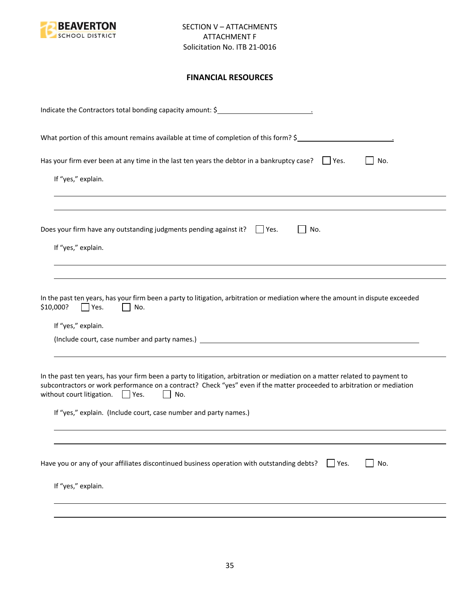

## **FINANCIAL RESOURCES**

| Indicate the Contractors total bonding capacity amount: \$                                                                                                                                                                                                                                                                                                                                |
|-------------------------------------------------------------------------------------------------------------------------------------------------------------------------------------------------------------------------------------------------------------------------------------------------------------------------------------------------------------------------------------------|
| What portion of this amount remains available at time of completion of this form? \$                                                                                                                                                                                                                                                                                                      |
| Has your firm ever been at any time in the last ten years the debtor in a bankruptcy case? $\Box$ Yes.<br>No.<br>If "yes," explain.                                                                                                                                                                                                                                                       |
| Does your firm have any outstanding judgments pending against it? $\Box$ Yes.<br>No.<br>If "yes," explain.                                                                                                                                                                                                                                                                                |
| In the past ten years, has your firm been a party to litigation, arbitration or mediation where the amount in dispute exceeded<br>\$10,000?<br>Yes.<br>No.<br>If "yes," explain.                                                                                                                                                                                                          |
| In the past ten years, has your firm been a party to litigation, arbitration or mediation on a matter related to payment to<br>subcontractors or work performance on a contract? Check "yes" even if the matter proceeded to arbitration or mediation<br>without court litigation. $\Box$ Yes.<br>$\mathbf{L}$<br>No.<br>If "yes," explain. (Include court, case number and party names.) |
| Have you or any of your affiliates discontinued business operation with outstanding debts?<br>No.<br>$ $ Yes.<br>If "yes," explain.                                                                                                                                                                                                                                                       |
|                                                                                                                                                                                                                                                                                                                                                                                           |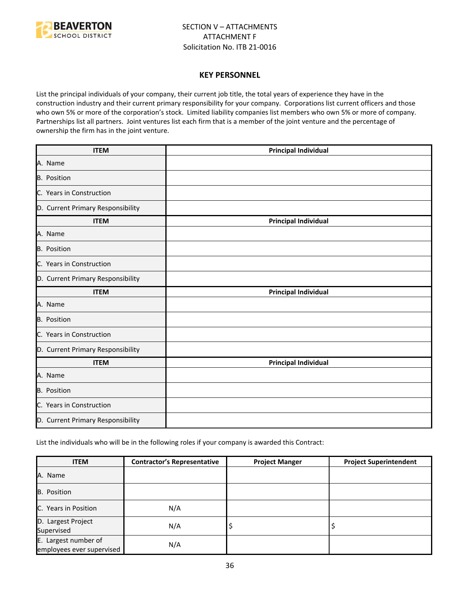

#### **KEY PERSONNEL**

List the principal individuals of your company, their current job title, the total years of experience they have in the construction industry and their current primary responsibility for your company. Corporations list current officers and those who own 5% or more of the corporation's stock. Limited liability companies list members who own 5% or more of company. Partnerships list all partners. Joint ventures list each firm that is a member of the joint venture and the percentage of ownership the firm has in the joint venture.

| <b>ITEM</b>                       | <b>Principal Individual</b> |  |
|-----------------------------------|-----------------------------|--|
| A. Name                           |                             |  |
| B. Position                       |                             |  |
| C. Years in Construction          |                             |  |
| D. Current Primary Responsibility |                             |  |
| <b>ITEM</b>                       | <b>Principal Individual</b> |  |
| A. Name                           |                             |  |
| B. Position                       |                             |  |
| C. Years in Construction          |                             |  |
| D. Current Primary Responsibility |                             |  |
| <b>ITEM</b>                       | <b>Principal Individual</b> |  |
| A. Name                           |                             |  |
| <b>B.</b> Position                |                             |  |
| C. Years in Construction          |                             |  |
| D. Current Primary Responsibility |                             |  |
| <b>ITEM</b>                       | <b>Principal Individual</b> |  |
| A. Name                           |                             |  |
| B. Position                       |                             |  |
| C. Years in Construction          |                             |  |
| D. Current Primary Responsibility |                             |  |

List the individuals who will be in the following roles if your company is awarded this Contract:

| <b>ITEM</b>                                       | <b>Contractor's Representative</b> | <b>Project Manger</b> | <b>Project Superintendent</b> |
|---------------------------------------------------|------------------------------------|-----------------------|-------------------------------|
| A. Name                                           |                                    |                       |                               |
| <b>B.</b> Position                                |                                    |                       |                               |
| C. Years in Position                              | N/A                                |                       |                               |
| D. Largest Project<br>Supervised                  | N/A                                | ÷,                    |                               |
| E. Largest number of<br>employees ever supervised | N/A                                |                       |                               |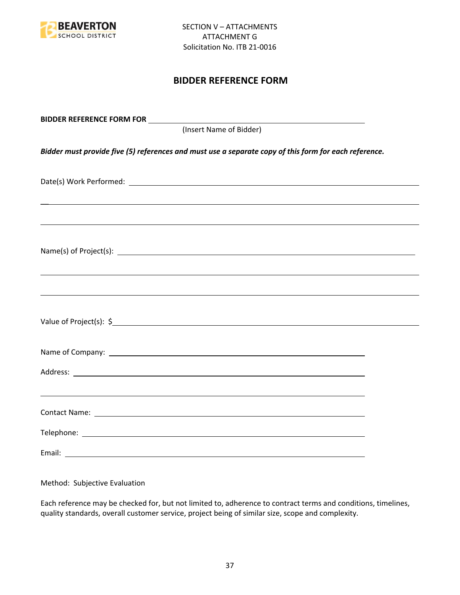

## **BIDDER REFERENCE FORM**

| (Insert Name of Bidder)                                                                                               |  |
|-----------------------------------------------------------------------------------------------------------------------|--|
| Bidder must provide five (5) references and must use a separate copy of this form for each reference.                 |  |
|                                                                                                                       |  |
| <u> 1989 - Jan Samuel Barbara, margaret amerikan basar dan berasal dalam berasal dalam berasal dalam berasal dala</u> |  |
|                                                                                                                       |  |
| ,我们也不能会有一个人的事情。""我们的人,我们也不能会有一个人的人,我们也不能会有一个人的人,我们也不能会有一个人的人,我们也不能会有一个人的人,我们也不能会                                      |  |
|                                                                                                                       |  |
|                                                                                                                       |  |
|                                                                                                                       |  |
|                                                                                                                       |  |
|                                                                                                                       |  |
|                                                                                                                       |  |

Method: Subjective Evaluation

Each reference may be checked for, but not limited to, adherence to contract terms and conditions, timelines, quality standards, overall customer service, project being of similar size, scope and complexity.